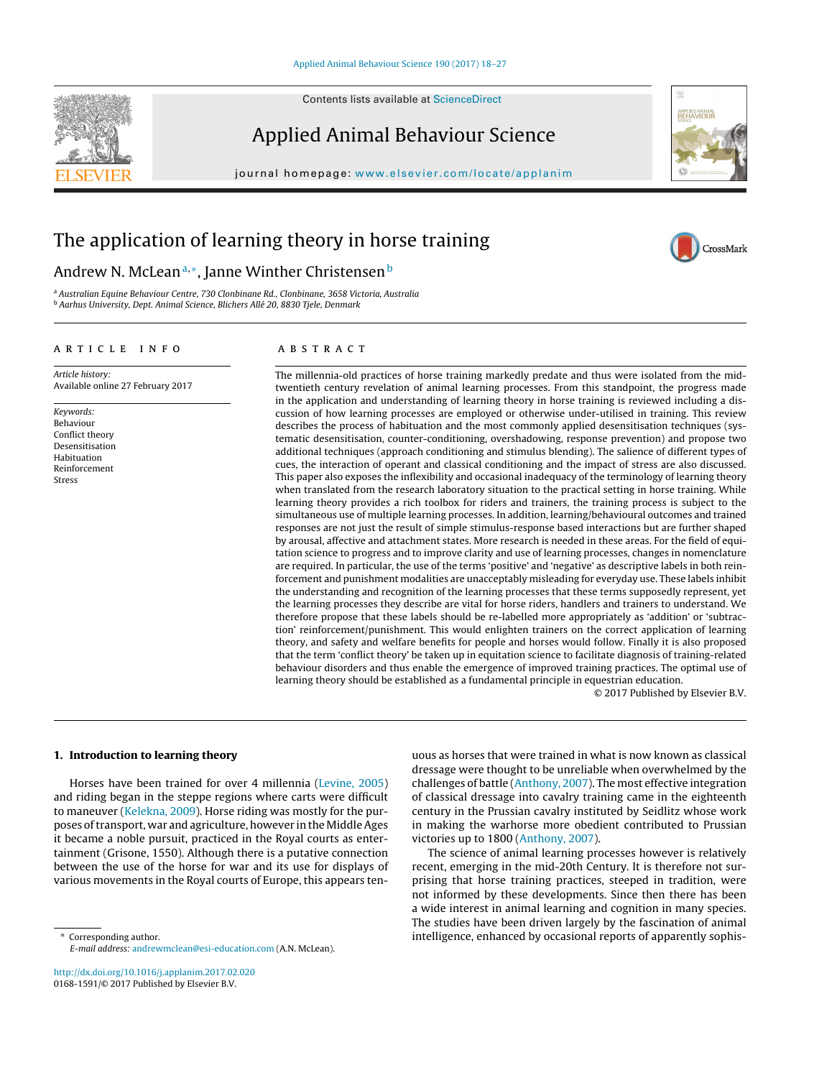

Contents lists available at [ScienceDirect](http://www.sciencedirect.com/science/journal/01681591)

# Applied Animal Behaviour Science

iournal homepage: [www.elsevier.com/locate/applanim](http://www.elsevier.com/locate/applanim)



CrossMark

## The application of learning theory in horse training

## Andrew N. McLean<sup>a,∗</sup>, Janne Winther Christensen<sup>b</sup>

<sup>a</sup> Australian Equine Behaviour Centre, 730 Clonbinane Rd., Clonbinane, 3658 Victoria, Australia <sup>b</sup> Aarhus University, Dept. Animal Science, Blichers Allé 20, 8830 Tjele, Denmark

## a r t i c l e i n f o

Article history: Available online 27 February 2017

Keywords: Behaviour Conflict theory Desensitisation Habituation Reinforcement Stress

## A B S T R A C T

The millennia-old practices of horse training markedly predate and thus were isolated from the midtwentieth century revelation of animal learning processes. From this standpoint, the progress made in the application and understanding of learning theory in horse training is reviewed including a discussion of how learning processes are employed or otherwise under-utilised in training. This review describes the process of habituation and the most commonly applied desensitisation techniques (systematic desensitisation, counter-conditioning, overshadowing, response prevention) and propose two additional techniques (approach conditioning and stimulus blending). The salience of different types of cues, the interaction of operant and classical conditioning and the impact of stress are also discussed. This paper also exposes the inflexibility and occasional inadequacy of the terminology of learning theory when translated from the research laboratory situation to the practical setting in horse training. While learning theory provides a rich toolbox for riders and trainers, the training process is subject to the simultaneous use of multiple learning processes. In addition, learning/behavioural outcomes and trained responses are not just the result of simple stimulus-response based interactions but are further shaped by arousal, affective and attachment states. More research is needed in these areas. For the field of equitation science to progress and to improve clarity and use of learning processes, changes in nomenclature are required. In particular, the use of the terms 'positive' and 'negative' as descriptive labels in both reinforcement and punishment modalities are unacceptably misleading for everyday use. These labels inhibit the understanding and recognition of the learning processes that these terms supposedly represent, yet the learning processes they describe are vital for horse riders, handlers and trainers to understand. We therefore propose that these labels should be re-labelled more appropriately as 'addition' or 'subtraction' reinforcement/punishment. This would enlighten trainers on the correct application of learning theory, and safety and welfare benefits for people and horses would follow. Finally it is also proposed that the term 'conflict theory' be taken up in equitation science to facilitate diagnosis of training-related behaviour disorders and thus enable the emergence of improved training practices. The optimal use of learning theory should be established as a fundamental principle in equestrian education.

© 2017 Published by Elsevier B.V.

## **1. Introduction to learning theory**

Horses have been trained for over 4 millennia [\(Levine,](#page-9-0) [2005\)](#page-9-0) and riding began in the steppe regions where carts were difficult to maneuver [\(Kelekna,](#page-9-0) [2009\).](#page-9-0) Horse riding was mostly for the purposes of transport, war and agriculture, however in the Middle Ages it became a noble pursuit, practiced in the Royal courts as entertainment (Grisone, 1550). Although there is a putative connection between the use of the horse for war and its use for displays of various movements in the Royal courts of Europe, this appears ten-

∗ Corresponding author. E-mail address: [andrewmclean@esi-education.com](mailto:andrewmclean@esi-education.com) (A.N. McLean).

[http://dx.doi.org/10.1016/j.applanim.2017.02.020](dx.doi.org/10.1016/j.applanim.2017.02.020) 0168-1591/© 2017 Published by Elsevier B.V.

uous as horses that were trained in what is now known as classical dressage were thought to be unreliable when overwhelmed by the challenges of battle ([Anthony,](#page-8-0) [2007\).](#page-8-0) The most effective integration of classical dressage into cavalry training came in the eighteenth century in the Prussian cavalry instituted by Seidlitz whose work in making the warhorse more obedient contributed to Prussian victories up to 1800 [\(Anthony,](#page-8-0) [2007\).](#page-8-0)

The science of animal learning processes however is relatively recent, emerging in the mid-20th Century. It is therefore not surprising that horse training practices, steeped in tradition, were not informed by these developments. Since then there has been a wide interest in animal learning and cognition in many species. The studies have been driven largely by the fascination of animal intelligence, enhanced by occasional reports of apparently sophis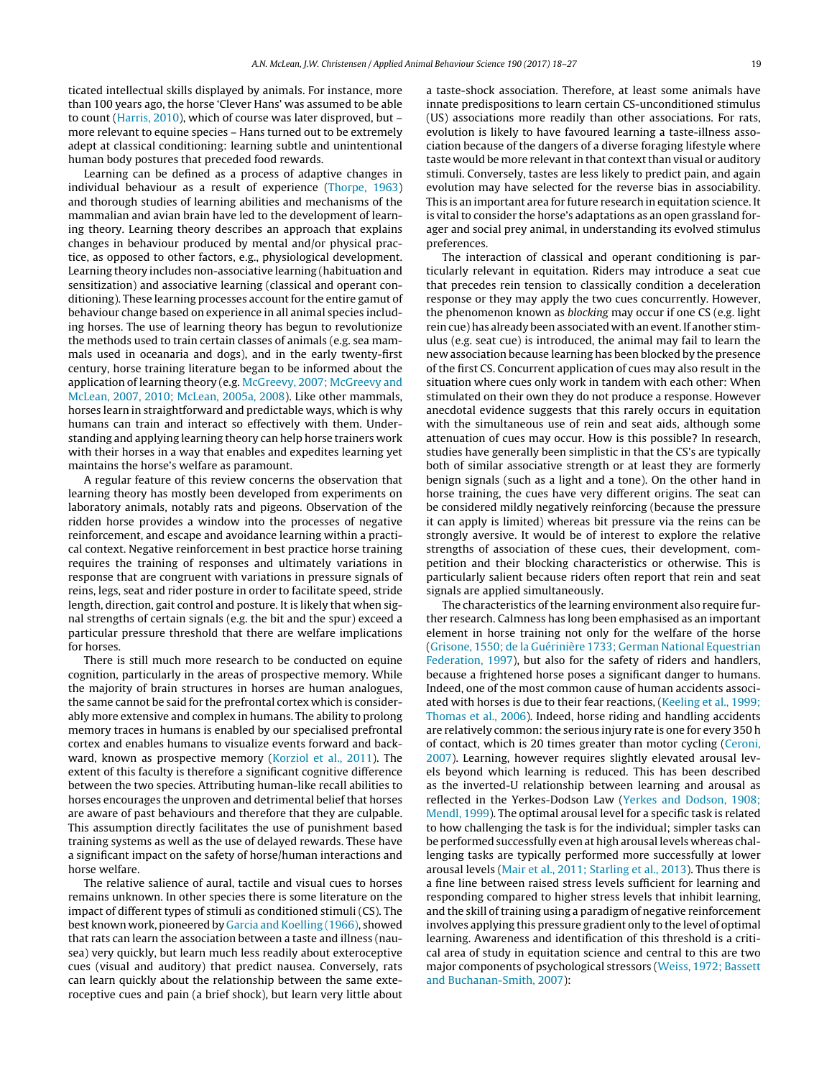ticated intellectual skills displayed by animals. For instance, more than 100 years ago, the horse 'Clever Hans' was assumed to be able to count ([Harris,](#page-8-0) [2010\),](#page-8-0) which of course was later disproved, but – more relevant to equine species – Hans turned out to be extremely adept at classical conditioning: learning subtle and unintentional human body postures that preceded food rewards.

Learning can be defined as a process of adaptive changes in individual behaviour as a result of experience [\(Thorpe,](#page-9-0) [1963\)](#page-9-0) and thorough studies of learning abilities and mechanisms of the mammalian and avian brain have led to the development of learning theory. Learning theory describes an approach that explains changes in behaviour produced by mental and/or physical practice, as opposed to other factors, e.g., physiological development. Learning theory includes non-associative learning (habituation and sensitization) and associative learning (classical and operant conditioning). These learning processes account for the entire gamut of behaviour change based on experience in all animal species including horses. The use of learning theory has begun to revolutionize the methods used to train certain classes of animals (e.g. sea mammals used in oceanaria and dogs), and in the early twenty-first century, horse training literature began to be informed about the application of learning theory (e.g. [McGreevy,](#page-9-0) [2007;](#page-9-0) [McGreevy](#page-9-0) [and](#page-9-0) [McLean,](#page-9-0) [2007,](#page-9-0) [2010;](#page-9-0) [McLean,](#page-9-0) [2005a,](#page-9-0) [2008\).](#page-9-0) Like other mammals, horses learn in straightforward and predictable ways, which is why humans can train and interact so effectively with them. Understanding and applying learning theory can help horse trainers work with their horses in a way that enables and expedites learning yet maintains the horse's welfare as paramount.

A regular feature of this review concerns the observation that learning theory has mostly been developed from experiments on laboratory animals, notably rats and pigeons. Observation of the ridden horse provides a window into the processes of negative reinforcement, and escape and avoidance learning within a practical context. Negative reinforcement in best practice horse training requires the training of responses and ultimately variations in response that are congruent with variations in pressure signals of reins, legs, seat and rider posture in order to facilitate speed, stride length, direction, gait control and posture. It is likely that when signal strengths of certain signals (e.g. the bit and the spur) exceed a particular pressure threshold that there are welfare implications for horses.

There is still much more research to be conducted on equine cognition, particularly in the areas of prospective memory. While the majority of brain structures in horses are human analogues, the same cannot be said for the prefrontal cortex which is considerably more extensive and complex in humans. The ability to prolong memory traces in humans is enabled by our specialised prefrontal cortex and enables humans to visualize events forward and backward, known as prospective memory ([Korziol](#page-9-0) et [al.,](#page-9-0) [2011\).](#page-9-0) The extent of this faculty is therefore a significant cognitive difference between the two species. Attributing human-like recall abilities to horses encourages the unproven and detrimental belief that horses are aware of past behaviours and therefore that they are culpable. This assumption directly facilitates the use of punishment based training systems as well as the use of delayed rewards. These have a significant impact on the safety of horse/human interactions and horse welfare.

The relative salience of aural, tactile and visual cues to horses remains unknown. In other species there is some literature on the impact of different types of stimuli as conditioned stimuli (CS). The best known work, pioneered by [Garcia](#page-8-0) [and](#page-8-0) [Koelling](#page-8-0) [\(1966\),](#page-8-0) showed that rats can learn the association between a taste and illness (nausea) very quickly, but learn much less readily about exteroceptive cues (visual and auditory) that predict nausea. Conversely, rats can learn quickly about the relationship between the same exteroceptive cues and pain (a brief shock), but learn very little about a taste-shock association. Therefore, at least some animals have innate predispositions to learn certain CS-unconditioned stimulus (US) associations more readily than other associations. For rats, evolution is likely to have favoured learning a taste-illness association because of the dangers of a diverse foraging lifestyle where taste would be more relevant in that context than visual or auditory stimuli. Conversely, tastes are less likely to predict pain, and again evolution may have selected for the reverse bias in associability. This is an important area for future research in equitation science. It is vital to consider the horse's adaptations as an open grassland forager and social prey animal, in understanding its evolved stimulus preferences.

The interaction of classical and operant conditioning is particularly relevant in equitation. Riders may introduce a seat cue that precedes rein tension to classically condition a deceleration response or they may apply the two cues concurrently. However, the phenomenon known as blocking may occur if one CS (e.g. light rein cue) has already been associated with an event. If another stimulus (e.g. seat cue) is introduced, the animal may fail to learn the new association because learning has been blocked by the presence of the first CS. Concurrent application of cues may also result in the situation where cues only work in tandem with each other: When stimulated on their own they do not produce a response. However anecdotal evidence suggests that this rarely occurs in equitation with the simultaneous use of rein and seat aids, although some attenuation of cues may occur. How is this possible? In research, studies have generally been simplistic in that the CS's are typically both of similar associative strength or at least they are formerly benign signals (such as a light and a tone). On the other hand in horse training, the cues have very different origins. The seat can be considered mildly negatively reinforcing (because the pressure it can apply is limited) whereas bit pressure via the reins can be strongly aversive. It would be of interest to explore the relative strengths of association of these cues, their development, competition and their blocking characteristics or otherwise. This is particularly salient because riders often report that rein and seat signals are applied simultaneously.

The characteristics of the learning environment also require further research. Calmness has long been emphasised as an important element in horse training not only for the welfare of the horse [\(Grisone,](#page-8-0) [1550;](#page-8-0) [de](#page-8-0) [la](#page-8-0) [Guérinière](#page-8-0) [1733;](#page-8-0) [German](#page-8-0) [National](#page-8-0) [Equestrian](#page-8-0) [Federation,](#page-8-0) [1997\),](#page-8-0) but also for the safety of riders and handlers, because a frightened horse poses a significant danger to humans. Indeed, one of the most common cause of human accidents associated with horses is due to their fear reactions, [\(Keeling](#page-9-0) et [al.,](#page-9-0) [1999;](#page-9-0) [Thomas](#page-9-0) et [al.,](#page-9-0) [2006\).](#page-9-0) Indeed, horse riding and handling accidents are relatively common: the serious injury rate is one for every 350 h of contact, which is 20 times greater than motor cycling ([Ceroni,](#page-8-0) [2007\).](#page-8-0) Learning, however requires slightly elevated arousal levels beyond which learning is reduced. This has been described as the inverted-U relationship between learning and arousal as reflected in the Yerkes-Dodson Law [\(Yerkes](#page-9-0) [and](#page-9-0) [Dodson,](#page-9-0) [1908;](#page-9-0) [Mendl,](#page-9-0) [1999\).](#page-9-0) The optimal arousal level for a specific task is related to how challenging the task is for the individual; simpler tasks can be performed successfully even at high arousal levels whereas challenging tasks are typically performed more successfully at lower arousal levels [\(Mair](#page-9-0) et [al.,](#page-9-0) [2011;](#page-9-0) [Starling](#page-9-0) et [al.,](#page-9-0) [2013\).](#page-9-0) Thus there is a fine line between raised stress levels sufficient for learning and responding compared to higher stress levels that inhibit learning, and the skill of training using a paradigm of negative reinforcement involves applying this pressure gradient only to the level of optimal learning. Awareness and identification of this threshold is a critical area of study in equitation science and central to this are two major components of psychological stressors [\(Weiss,](#page-9-0) [1972;](#page-9-0) [Bassett](#page-9-0) [and](#page-9-0) [Buchanan-Smith,](#page-9-0) [2007\):](#page-9-0)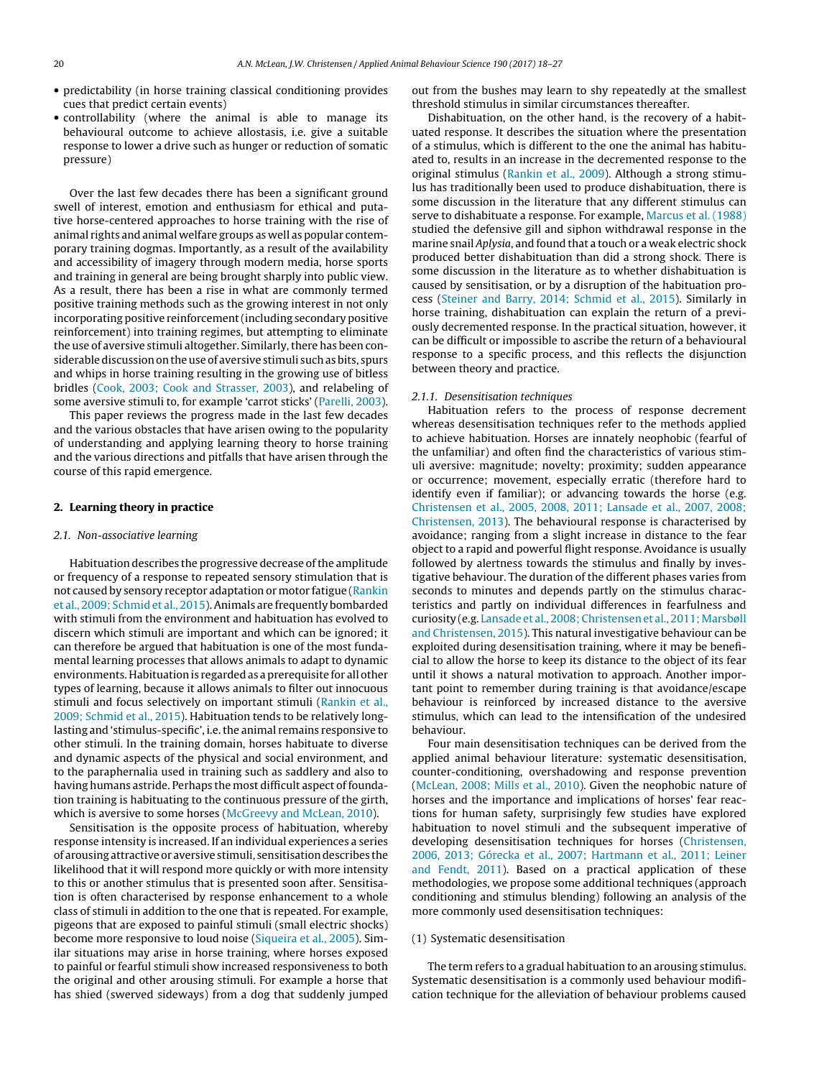- predictability (in horse training classical conditioning provides cues that predict certain events)
- controllability (where the animal is able to manage its behavioural outcome to achieve allostasis, i.e. give a suitable response to lower a drive such as hunger or reduction of somatic pressure)

Over the last few decades there has been a significant ground swell of interest, emotion and enthusiasm for ethical and putative horse-centered approaches to horse training with the rise of animal rights and animal welfare groups as well as popular contemporary training dogmas. Importantly, as a result of the availability and accessibility of imagery through modern media, horse sports and training in general are being brought sharply into public view. As a result, there has been a rise in what are commonly termed positive training methods such as the growing interest in not only incorporating positive reinforcement(including secondary positive reinforcement) into training regimes, but attempting to eliminate the use of aversive stimuli altogether. Similarly, there has been considerable discussion on the use of aversive stimuli such as bits, spurs and whips in horse training resulting in the growing use of bitless bridles [\(Cook,](#page-8-0) [2003;](#page-8-0) [Cook](#page-8-0) [and](#page-8-0) [Strasser,](#page-8-0) [2003\),](#page-8-0) and relabeling of some aversive stimuli to, for example 'carrot sticks' [\(Parelli,](#page-9-0) [2003\).](#page-9-0)

This paper reviews the progress made in the last few decades and the various obstacles that have arisen owing to the popularity of understanding and applying learning theory to horse training and the various directions and pitfalls that have arisen through the course of this rapid emergence.

## **2. Learning theory in practice**

#### 2.1. Non-associative learning

Habituation describes the progressive decrease of the amplitude or frequency of a response to repeated sensory stimulation that is not caused by sensory receptor adaptation or motor fatigue ([Rankin](#page-9-0) et [al.,](#page-9-0) [2009;](#page-9-0) [Schmid](#page-9-0) et [al.,](#page-9-0) [2015\).](#page-9-0) Animals are frequently bombarded with stimuli from the environment and habituation has evolved to discern which stimuli are important and which can be ignored; it can therefore be argued that habituation is one of the most fundamental learning processes that allows animals to adapt to dynamic environments.Habituationis regardedas aprerequisite for all other types of learning, because it allows animals to filter out innocuous stimuli and focus selectively on important stimuli ([Rankin](#page-9-0) et [al.,](#page-9-0) [2009;](#page-9-0) [Schmid](#page-9-0) et [al.,](#page-9-0) [2015\).](#page-9-0) Habituation tends to be relatively longlasting and 'stimulus-specific', i.e.the animal remains responsive to other stimuli. In the training domain, horses habituate to diverse and dynamic aspects of the physical and social environment, and to the paraphernalia used in training such as saddlery and also to having humans astride. Perhaps the most difficult aspect of foundation training is habituating to the continuous pressure of the girth, which is aversive to some horses ([McGreevy](#page-9-0) [and](#page-9-0) [McLean,](#page-9-0) [2010\).](#page-9-0)

Sensitisation is the opposite process of habituation, whereby response intensity is increased. If an individual experiences a series of arousing attractive or aversive stimuli, sensitisationdescribes the likelihood that it will respond more quickly or with more intensity to this or another stimulus that is presented soon after. Sensitisation is often characterised by response enhancement to a whole class of stimuli in addition to the one that is repeated. For example, pigeons that are exposed to painful stimuli (small electric shocks) become more responsive to loud noise ([Siqueira](#page-9-0) et [al.,](#page-9-0) [2005\).](#page-9-0) Similar situations may arise in horse training, where horses exposed to painful or fearful stimuli show increased responsiveness to both the original and other arousing stimuli. For example a horse that has shied (swerved sideways) from a dog that suddenly jumped

out from the bushes may learn to shy repeatedly at the smallest threshold stimulus in similar circumstances thereafter.

Dishabituation, on the other hand, is the recovery of a habituated response. It describes the situation where the presentation of a stimulus, which is different to the one the animal has habituated to, results in an increase in the decremented response to the original stimulus [\(Rankin](#page-9-0) et [al.,](#page-9-0) [2009\).](#page-9-0) Although a strong stimulus has traditionally been used to produce dishabituation, there is some discussion in the literature that any different stimulus can serve to dishabituate a response. For example, [Marcus](#page-9-0) et [al.](#page-9-0) [\(1988\)](#page-9-0) studied the defensive gill and siphon withdrawal response in the marine snail Aplysia, and found that a touch or a weak electric shock produced better dishabituation than did a strong shock. There is some discussion in the literature as to whether dishabituation is caused by sensitisation, or by a disruption of the habituation process ([Steiner](#page-9-0) [and](#page-9-0) [Barry,](#page-9-0) [2014;](#page-9-0) [Schmid](#page-9-0) et [al.,](#page-9-0) [2015\).](#page-9-0) Similarly in horse training, dishabituation can explain the return of a previously decremented response. In the practical situation, however, it can be difficult or impossible to ascribe the return of a behavioural response to a specific process, and this reflects the disjunction between theory and practice.

#### 2.1.1. Desensitisation techniques

Habituation refers to the process of response decrement whereas desensitisation techniques refer to the methods applied to achieve habituation. Horses are innately neophobic (fearful of the unfamiliar) and often find the characteristics of various stimuli aversive: magnitude; novelty; proximity; sudden appearance or occurrence; movement, especially erratic (therefore hard to identify even if familiar); or advancing towards the horse (e.g. [Christensen](#page-8-0) et [al.,](#page-8-0) [2005,](#page-8-0) [2008,](#page-8-0) [2011;](#page-8-0) [Lansade](#page-8-0) et [al.,](#page-8-0) [2007,](#page-8-0) [2008;](#page-8-0) [Christensen,](#page-8-0) [2013\).](#page-8-0) The behavioural response is characterised by avoidance; ranging from a slight increase in distance to the fear object to a rapid and powerful flight response. Avoidance is usually followed by alertness towards the stimulus and finally by investigative behaviour. The duration of the different phases varies from seconds to minutes and depends partly on the stimulus characteristics and partly on individual differences in fearfulness and curiosity (e.g. [Lansade](#page-9-0) et [al.,](#page-9-0) [2008;](#page-9-0) Christensen et al., 2011; Marsbøll [and](#page-9-0) [Christensen,](#page-9-0) [2015\).](#page-9-0) This natural investigative behaviour can be exploited during desensitisation training, where it may be beneficial to allow the horse to keep its distance to the object of its fear until it shows a natural motivation to approach. Another important point to remember during training is that avoidance/escape behaviour is reinforced by increased distance to the aversive stimulus, which can lead to the intensification of the undesired behaviour.

Four main desensitisation techniques can be derived from the applied animal behaviour literature: systematic desensitisation, counter-conditioning, overshadowing and response prevention [\(McLean,](#page-9-0) [2008;](#page-9-0) [Mills](#page-9-0) et [al.,](#page-9-0) [2010\).](#page-9-0) Given the neophobic nature of horses and the importance and implications of horses' fear reactions for human safety, surprisingly few studies have explored habituation to novel stimuli and the subsequent imperative of developing desensitisation techniques for horses ([Christensen,](#page-8-0) [2006,](#page-8-0) [2013;](#page-8-0) [Górecka](#page-8-0) et [al.,](#page-8-0) [2007;](#page-8-0) [Hartmann](#page-8-0) et [al.,](#page-8-0) [2011;](#page-8-0) [Leiner](#page-8-0) [and](#page-8-0) [Fendt,](#page-8-0) [2011\).](#page-8-0) Based on a practical application of these methodologies, we propose some additional techniques (approach conditioning and stimulus blending) following an analysis of the more commonly used desensitisation techniques:

## (1) Systematic desensitisation

The term refers to a gradual habituation to an arousing stimulus. Systematic desensitisation is a commonly used behaviour modification technique for the alleviation of behaviour problems caused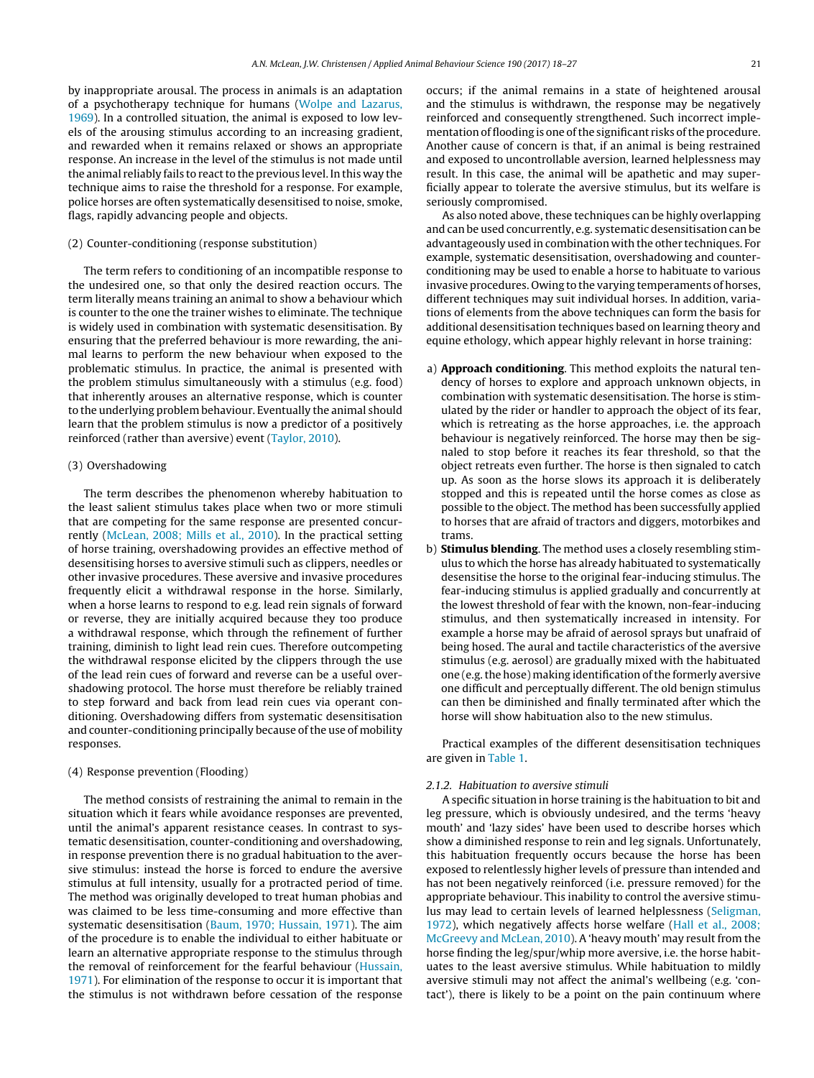by inappropriate arousal. The process in animals is an adaptation of a psychotherapy technique for humans [\(Wolpe](#page-9-0) [and](#page-9-0) [Lazarus,](#page-9-0) [1969\).](#page-9-0) In a controlled situation, the animal is exposed to low levels of the arousing stimulus according to an increasing gradient, and rewarded when it remains relaxed or shows an appropriate response. An increase in the level of the stimulus is not made until the animal reliably fails to react to the previous level. In this way the technique aims to raise the threshold for a response. For example, police horses are often systematically desensitised to noise, smoke, flags, rapidly advancing people and objects.

## (2) Counter-conditioning (response substitution)

The term refers to conditioning of an incompatible response to the undesired one, so that only the desired reaction occurs. The term literally means training an animal to show a behaviour which is counter to the one the trainer wishes to eliminate. The technique is widely used in combination with systematic desensitisation. By ensuring that the preferred behaviour is more rewarding, the animal learns to perform the new behaviour when exposed to the problematic stimulus. In practice, the animal is presented with the problem stimulus simultaneously with a stimulus (e.g. food) that inherently arouses an alternative response, which is counter to the underlying problem behaviour. Eventually the animal should learn that the problem stimulus is now a predictor of a positively reinforced (rather than aversive) event ([Taylor,](#page-9-0) [2010\).](#page-9-0)

## (3) Overshadowing

The term describes the phenomenon whereby habituation to the least salient stimulus takes place when two or more stimuli that are competing for the same response are presented concurrently ([McLean,](#page-9-0) [2008;](#page-9-0) [Mills](#page-9-0) et [al.,](#page-9-0) [2010\).](#page-9-0) In the practical setting of horse training, overshadowing provides an effective method of desensitising horses to aversive stimuli such as clippers, needles or other invasive procedures. These aversive and invasive procedures frequently elicit a withdrawal response in the horse. Similarly, when a horse learns to respond to e.g. lead rein signals of forward or reverse, they are initially acquired because they too produce a withdrawal response, which through the refinement of further training, diminish to light lead rein cues. Therefore outcompeting the withdrawal response elicited by the clippers through the use of the lead rein cues of forward and reverse can be a useful overshadowing protocol. The horse must therefore be reliably trained to step forward and back from lead rein cues via operant conditioning. Overshadowing differs from systematic desensitisation and counter-conditioning principally because of the use of mobility responses.

#### (4) Response prevention (Flooding)

The method consists of restraining the animal to remain in the situation which it fears while avoidance responses are prevented, until the animal's apparent resistance ceases. In contrast to systematic desensitisation, counter-conditioning and overshadowing, in response prevention there is no gradual habituation to the aversive stimulus: instead the horse is forced to endure the aversive stimulus at full intensity, usually for a protracted period of time. The method was originally developed to treat human phobias and was claimed to be less time-consuming and more effective than systematic desensitisation ([Baum,](#page-8-0) [1970;](#page-8-0) [Hussain,](#page-8-0) [1971\).](#page-8-0) The aim of the procedure is to enable the individual to either habituate or learn an alternative appropriate response to the stimulus through the removal of reinforcement for the fearful behaviour ([Hussain,](#page-9-0) [1971\).](#page-9-0) For elimination of the response to occur it is important that the stimulus is not withdrawn before cessation of the response

occurs; if the animal remains in a state of heightened arousal and the stimulus is withdrawn, the response may be negatively reinforced and consequently strengthened. Such incorrect implementation of flooding is one of the significant risks of the procedure. Another cause of concern is that, if an animal is being restrained and exposed to uncontrollable aversion, learned helplessness may result. In this case, the animal will be apathetic and may superficially appear to tolerate the aversive stimulus, but its welfare is seriously compromised.

As also noted above, these techniques can be highly overlapping and can be used concurrently, e.g. systematic desensitisation can be advantageously used in combination with the other techniques. For example, systematic desensitisation, overshadowing and counterconditioning may be used to enable a horse to habituate to various invasive procedures. Owing to the varying temperaments of horses, different techniques may suit individual horses. In addition, variations of elements from the above techniques can form the basis for additional desensitisation techniques based on learning theory and equine ethology, which appear highly relevant in horse training:

- a) **Approach conditioning**. This method exploits the natural tendency of horses to explore and approach unknown objects, in combination with systematic desensitisation. The horse is stimulated by the rider or handler to approach the object of its fear, which is retreating as the horse approaches, i.e. the approach behaviour is negatively reinforced. The horse may then be signaled to stop before it reaches its fear threshold, so that the object retreats even further. The horse is then signaled to catch up. As soon as the horse slows its approach it is deliberately stopped and this is repeated until the horse comes as close as possible to the object. The method has been successfully applied to horses that are afraid of tractors and diggers, motorbikes and trams.
- b) **Stimulus blending**. The method uses a closely resembling stimulus to which the horse has already habituated to systematically desensitise the horse to the original fear-inducing stimulus. The fear-inducing stimulus is applied gradually and concurrently at the lowest threshold of fear with the known, non-fear-inducing stimulus, and then systematically increased in intensity. For example a horse may be afraid of aerosol sprays but unafraid of being hosed. The aural and tactile characteristics of the aversive stimulus (e.g. aerosol) are gradually mixed with the habituated one (e.g. the hose) making identification of the formerly aversive one difficult and perceptually different. The old benign stimulus can then be diminished and finally terminated after which the horse will show habituation also to the new stimulus.

Practical examples of the different desensitisation techniques are given in [Table](#page-4-0) 1.

## 2.1.2. Habituation to aversive stimuli

A specific situation in horse training is the habituation to bit and leg pressure, which is obviously undesired, and the terms 'heavy mouth' and 'lazy sides' have been used to describe horses which show a diminished response to rein and leg signals. Unfortunately, this habituation frequently occurs because the horse has been exposed to relentlessly higher levels of pressure than intended and has not been negatively reinforced (i.e. pressure removed) for the appropriate behaviour. This inability to control the aversive stimulus may lead to certain levels of learned helplessness ([Seligman,](#page-9-0) [1972\),](#page-9-0) which negatively affects horse welfare ([Hall](#page-8-0) et [al.,](#page-8-0) [2008;](#page-8-0) [McGreevy](#page-8-0) [and](#page-8-0) [McLean,](#page-8-0) [2010\).](#page-8-0) A 'heavy mouth' may result from the horse finding the leg/spur/whip more aversive, i.e. the horse habituates to the least aversive stimulus. While habituation to mildly aversive stimuli may not affect the animal's wellbeing (e.g. 'contact'), there is likely to be a point on the pain continuum where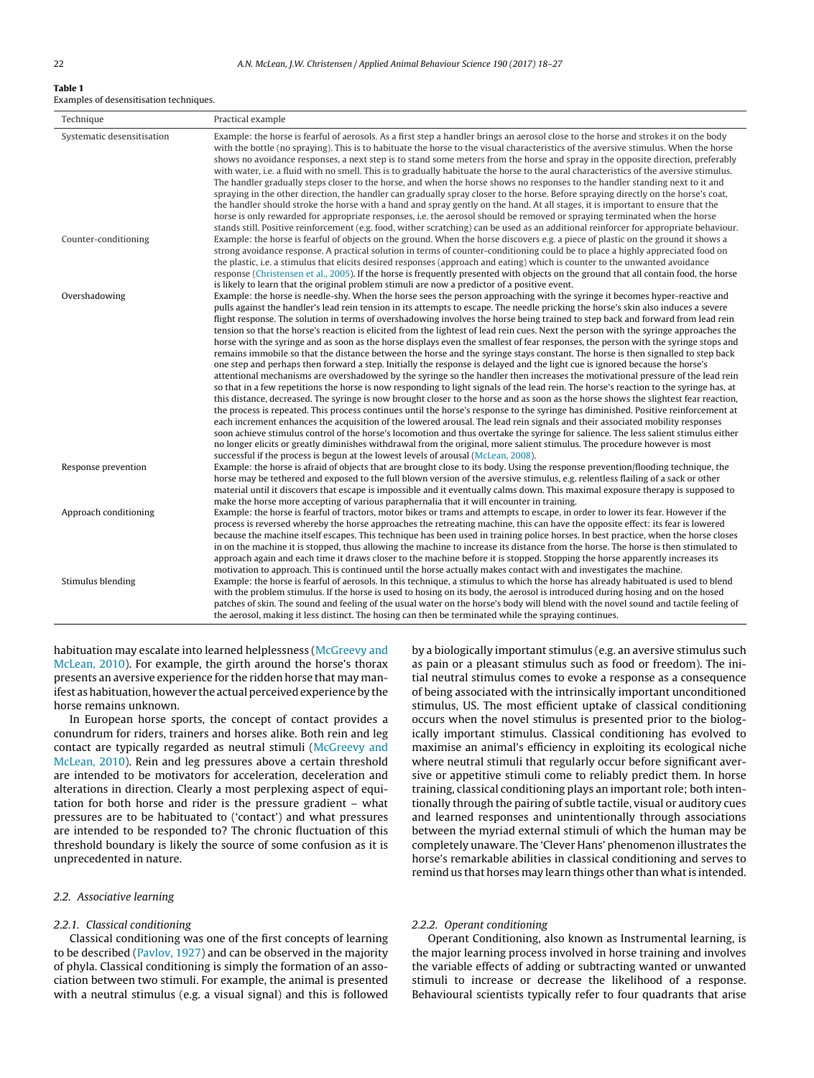#### <span id="page-4-0"></span>**Table 1** Examples of desensitisation techniques.

| Technique                                          | Practical example                                                                                                                                                                                                                                                                                                                                                                                                                                                                                                                                                                                                                                                                                                                                                                                                                                                                                                                                                                                                                                                                                                                                                                                                                                                                                                                                                                                                                                                                                                                                                                                                                                                                                                                                                                                                                                                                                                                                                                                                    |
|----------------------------------------------------|----------------------------------------------------------------------------------------------------------------------------------------------------------------------------------------------------------------------------------------------------------------------------------------------------------------------------------------------------------------------------------------------------------------------------------------------------------------------------------------------------------------------------------------------------------------------------------------------------------------------------------------------------------------------------------------------------------------------------------------------------------------------------------------------------------------------------------------------------------------------------------------------------------------------------------------------------------------------------------------------------------------------------------------------------------------------------------------------------------------------------------------------------------------------------------------------------------------------------------------------------------------------------------------------------------------------------------------------------------------------------------------------------------------------------------------------------------------------------------------------------------------------------------------------------------------------------------------------------------------------------------------------------------------------------------------------------------------------------------------------------------------------------------------------------------------------------------------------------------------------------------------------------------------------------------------------------------------------------------------------------------------------|
| Systematic desensitisation<br>Counter-conditioning | Example: the horse is fearful of aerosols. As a first step a handler brings an aerosol close to the horse and strokes it on the body<br>with the bottle (no spraying). This is to habituate the horse to the visual characteristics of the aversive stimulus. When the horse<br>shows no avoidance responses, a next step is to stand some meters from the horse and spray in the opposite direction, preferably<br>with water, i.e. a fluid with no smell. This is to gradually habituate the horse to the aural characteristics of the aversive stimulus.<br>The handler gradually steps closer to the horse, and when the horse shows no responses to the handler standing next to it and<br>spraying in the other direction, the handler can gradually spray closer to the horse. Before spraying directly on the horse's coat,<br>the handler should stroke the horse with a hand and spray gently on the hand. At all stages, it is important to ensure that the<br>horse is only rewarded for appropriate responses, i.e. the aerosol should be removed or spraying terminated when the horse<br>stands still. Positive reinforcement (e.g. food, wither scratching) can be used as an additional reinforcer for appropriate behaviour.<br>Example: the horse is fearful of objects on the ground. When the horse discovers e.g. a piece of plastic on the ground it shows a<br>strong avoidance response. A practical solution in terms of counter-conditioning could be to place a highly appreciated food on<br>the plastic, i.e. a stimulus that elicits desired responses (approach and eating) which is counter to the unwanted avoidance<br>response (Christensen et al., 2005). If the horse is frequently presented with objects on the ground that all contain food, the horse<br>is likely to learn that the original problem stimuli are now a predictor of a positive event.                                                                                                                     |
| Overshadowing                                      | Example: the horse is needle-shy. When the horse sees the person approaching with the syringe it becomes hyper-reactive and<br>pulls against the handler's lead rein tension in its attempts to escape. The needle pricking the horse's skin also induces a severe<br>flight response. The solution in terms of overshadowing involves the horse being trained to step back and forward from lead rein<br>tension so that the horse's reaction is elicited from the lightest of lead rein cues. Next the person with the syringe approaches the<br>horse with the syringe and as soon as the horse displays even the smallest of fear responses, the person with the syringe stops and<br>remains immobile so that the distance between the horse and the syringe stays constant. The horse is then signalled to step back<br>one step and perhaps then forward a step. Initially the response is delayed and the light cue is ignored because the horse's<br>attentional mechanisms are overshadowed by the syringe so the handler then increases the motivational pressure of the lead rein<br>so that in a few repetitions the horse is now responding to light signals of the lead rein. The horse's reaction to the syringe has, at<br>this distance, decreased. The syringe is now brought closer to the horse and as soon as the horse shows the slightest fear reaction,<br>the process is repeated. This process continues until the horse's response to the syringe has diminished. Positive reinforcement at<br>each increment enhances the acquisition of the lowered arousal. The lead rein signals and their associated mobility responses<br>soon achieve stimulus control of the horse's locomotion and thus overtake the syringe for salience. The less salient stimulus either<br>no longer elicits or greatly diminishes withdrawal from the original, more salient stimulus. The procedure however is most<br>successful if the process is begun at the lowest levels of arousal (McLean, 2008). |
| Response prevention                                | Example: the horse is afraid of objects that are brought close to its body. Using the response prevention/flooding technique, the<br>horse may be tethered and exposed to the full blown version of the aversive stimulus, e.g. relentless flailing of a sack or other<br>material until it discovers that escape is impossible and it eventually calms down. This maximal exposure therapy is supposed to<br>make the horse more accepting of various paraphernalia that it will encounter in training.                                                                                                                                                                                                                                                                                                                                                                                                                                                                                                                                                                                                                                                                                                                                                                                                                                                                                                                                                                                                                                                                                                                                                                                                                                                                                                                                                                                                                                                                                                             |
| Approach conditioning                              | Example: the horse is fearful of tractors, motor bikes or trams and attempts to escape, in order to lower its fear. However if the<br>process is reversed whereby the horse approaches the retreating machine, this can have the opposite effect: its fear is lowered<br>because the machine itself escapes. This technique has been used in training police horses. In best practice, when the horse closes<br>in on the machine it is stopped, thus allowing the machine to increase its distance from the horse. The horse is then stimulated to<br>approach again and each time it draws closer to the machine before it is stopped. Stopping the horse apparently increases its<br>motivation to approach. This is continued until the horse actually makes contact with and investigates the machine.                                                                                                                                                                                                                                                                                                                                                                                                                                                                                                                                                                                                                                                                                                                                                                                                                                                                                                                                                                                                                                                                                                                                                                                                          |
| Stimulus blending                                  | Example: the horse is fearful of aerosols. In this technique, a stimulus to which the horse has already habituated is used to blend<br>with the problem stimulus. If the horse is used to hosing on its body, the aerosol is introduced during hosing and on the hosed<br>patches of skin. The sound and feeling of the usual water on the horse's body will blend with the novel sound and tactile feeling of<br>the aerosol, making it less distinct. The hosing can then be terminated while the spraying continues.                                                                                                                                                                                                                                                                                                                                                                                                                                                                                                                                                                                                                                                                                                                                                                                                                                                                                                                                                                                                                                                                                                                                                                                                                                                                                                                                                                                                                                                                                              |

## habituation may escalate into learned helplessness ([McGreevy](#page-9-0) [and](#page-9-0) [McLean,](#page-9-0) [2010\).](#page-9-0) For example, the girth around the horse's thorax presents an aversive experience for the ridden horse that may manifest as habituation, however the actual perceived experience by the horse remains unknown.

In European horse sports, the concept of contact provides a conundrum for riders, trainers and horses alike. Both rein and leg contact are typically regarded as neutral stimuli [\(McGreevy](#page-9-0) [and](#page-9-0) [McLean,](#page-9-0) [2010\).](#page-9-0) Rein and leg pressures above a certain threshold are intended to be motivators for acceleration, deceleration and alterations in direction. Clearly a most perplexing aspect of equitation for both horse and rider is the pressure gradient – what pressures are to be habituated to ('contact') and what pressures are intended to be responded to? The chronic fluctuation of this threshold boundary is likely the source of some confusion as it is unprecedented in nature.

## 2.2. Associative learning

#### 2.2.1. Classical conditioning

Classical conditioning was one of the first concepts of learning to be described ([Pavlov,](#page-9-0) [1927\)](#page-9-0) and can be observed in the majority of phyla. Classical conditioning is simply the formation of an association between two stimuli. For example, the animal is presented with a neutral stimulus (e.g. a visual signal) and this is followed

by a biologically important stimulus (e.g. an aversive stimulus such as pain or a pleasant stimulus such as food or freedom). The initial neutral stimulus comes to evoke a response as a consequence of being associated with the intrinsically important unconditioned stimulus, US. The most efficient uptake of classical conditioning occurs when the novel stimulus is presented prior to the biologically important stimulus. Classical conditioning has evolved to maximise an animal's efficiency in exploiting its ecological niche where neutral stimuli that regularly occur before significant aversive or appetitive stimuli come to reliably predict them. In horse training, classical conditioning plays an important role; both intentionally through the pairing of subtle tactile, visual or auditory cues and learned responses and unintentionally through associations between the myriad external stimuli of which the human may be completely unaware. The 'Clever Hans' phenomenon illustrates the horse's remarkable abilities in classical conditioning and serves to remind us that horses may learn things other than what is intended.

## 2.2.2. Operant conditioning

Operant Conditioning, also known as Instrumental learning, is the major learning process involved in horse training and involves the variable effects of adding or subtracting wanted or unwanted stimuli to increase or decrease the likelihood of a response. Behavioural scientists typically refer to four quadrants that arise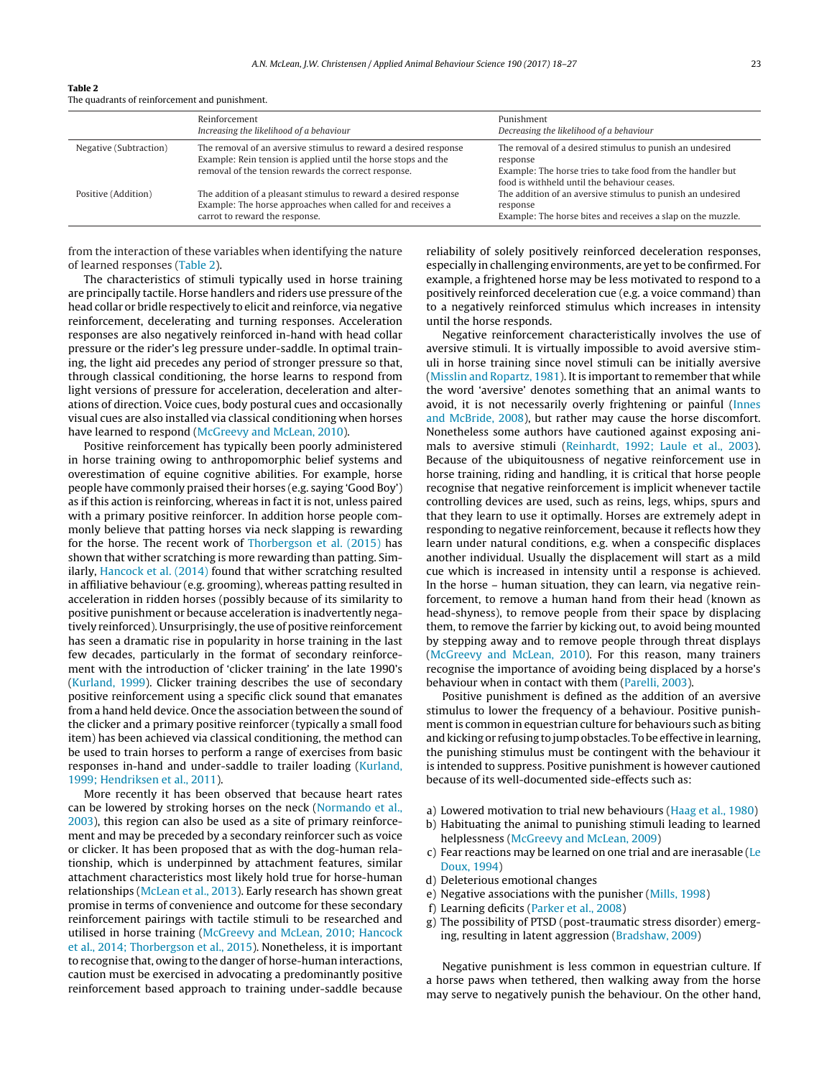| Table 2                                        |  |
|------------------------------------------------|--|
| The quadrants of reinforcement and punishment. |  |

|                        | Reinforcement<br>Increasing the likelihood of a behaviour                                                                                                                                  | Punishment<br>Decreasing the likelihood of a behaviour                                                                                                                             |
|------------------------|--------------------------------------------------------------------------------------------------------------------------------------------------------------------------------------------|------------------------------------------------------------------------------------------------------------------------------------------------------------------------------------|
| Negative (Subtraction) | The removal of an aversive stimulus to reward a desired response<br>Example: Rein tension is applied until the horse stops and the<br>removal of the tension rewards the correct response. | The removal of a desired stimulus to punish an undesired<br>response<br>Example: The horse tries to take food from the handler but<br>food is withheld until the behaviour ceases. |
| Positive (Addition)    | The addition of a pleasant stimulus to reward a desired response<br>Example: The horse approaches when called for and receives a<br>carrot to reward the response.                         | The addition of an aversive stimulus to punish an undesired<br>response<br>Example: The horse bites and receives a slap on the muzzle.                                             |

from the interaction of these variables when identifying the nature of learned responses (Table 2).

The characteristics of stimuli typically used in horse training are principally tactile. Horse handlers and riders use pressure of the head collar or bridle respectively to elicit and reinforce, via negative reinforcement, decelerating and turning responses. Acceleration responses are also negatively reinforced in-hand with head collar pressure or the rider's leg pressure under-saddle. In optimal training, the light aid precedes any period of stronger pressure so that, through classical conditioning, the horse learns to respond from light versions of pressure for acceleration, deceleration and alterations of direction. Voice cues, body postural cues and occasionally visual cues are also installed via classical conditioning when horses have learned to respond ([McGreevy](#page-9-0) [and](#page-9-0) [McLean,](#page-9-0) [2010\).](#page-9-0)

Positive reinforcement has typically been poorly administered in horse training owing to anthropomorphic belief systems and overestimation of equine cognitive abilities. For example, horse people have commonly praised their horses (e.g. saying 'Good Boy') as if this action is reinforcing, whereas in fact it is not, unless paired with a primary positive reinforcer. In addition horse people commonly believe that patting horses via neck slapping is rewarding for the horse. The recent work of [Thorbergson](#page-9-0) et [al.](#page-9-0) [\(2015\)](#page-9-0) has shown that wither scratching is more rewarding than patting. Similarly, [Hancock](#page-8-0) et [al.](#page-8-0) [\(2014\)](#page-8-0) found that wither scratching resulted in affiliative behaviour (e.g. grooming), whereas patting resulted in acceleration in ridden horses (possibly because of its similarity to positive punishment or because acceleration is inadvertently negatively reinforced). Unsurprisingly,the use of positive reinforcement has seen a dramatic rise in popularity in horse training in the last few decades, particularly in the format of secondary reinforcement with the introduction of 'clicker training' in the late 1990's ([Kurland,](#page-9-0) [1999\).](#page-9-0) Clicker training describes the use of secondary positive reinforcement using a specific click sound that emanates from a hand held device. Once the association between the sound of the clicker and a primary positive reinforcer (typically a small food item) has been achieved via classical conditioning, the method can be used to train horses to perform a range of exercises from basic responses in-hand and under-saddle to trailer loading ([Kurland,](#page-9-0) [1999;](#page-9-0) [Hendriksen](#page-9-0) et [al.,](#page-9-0) [2011\).](#page-9-0)

More recently it has been observed that because heart rates can be lowered by stroking horses on the neck ([Normando](#page-9-0) et [al.,](#page-9-0) [2003\),](#page-9-0) this region can also be used as a site of primary reinforcement and may be preceded by a secondary reinforcer such as voice or clicker. It has been proposed that as with the dog-human relationship, which is underpinned by attachment features, similar attachment characteristics most likely hold true for horse-human relationships [\(McLean](#page-9-0) et [al.,](#page-9-0) [2013\).](#page-9-0) Early research has shown great promise in terms of convenience and outcome for these secondary reinforcement pairings with tactile stimuli to be researched and utilised in horse training [\(McGreevy](#page-9-0) [and](#page-9-0) [McLean,](#page-9-0) [2010;](#page-9-0) [Hancock](#page-9-0) et [al.,](#page-9-0) [2014;](#page-9-0) [Thorbergson](#page-9-0) et [al.,](#page-9-0) [2015\).](#page-9-0) Nonetheless, it is important to recognise that, owing to the danger of horse-human interactions, caution must be exercised in advocating a predominantly positive reinforcement based approach to training under-saddle because

reliability of solely positively reinforced deceleration responses, especially in challenging environments, are yet to be confirmed. For example, a frightened horse may be less motivated to respond to a positively reinforced deceleration cue (e.g. a voice command) than to a negatively reinforced stimulus which increases in intensity until the horse responds.

Negative reinforcement characteristically involves the use of aversive stimuli. It is virtually impossible to avoid aversive stimuli in horse training since novel stimuli can be initially aversive [\(Misslin](#page-9-0) [and](#page-9-0) [Ropartz,](#page-9-0) [1981\).](#page-9-0) It is important to remember that while the word 'aversive' denotes something that an animal wants to avoid, it is not necessarily overly frightening or painful [\(Innes](#page-9-0) [and](#page-9-0) [McBride,](#page-9-0) [2008\),](#page-9-0) but rather may cause the horse discomfort. Nonetheless some authors have cautioned against exposing animals to aversive stimuli [\(Reinhardt,](#page-9-0) [1992;](#page-9-0) [Laule](#page-9-0) et [al.,](#page-9-0) [2003\).](#page-9-0) Because of the ubiquitousness of negative reinforcement use in horse training, riding and handling, it is critical that horse people recognise that negative reinforcement is implicit whenever tactile controlling devices are used, such as reins, legs, whips, spurs and that they learn to use it optimally. Horses are extremely adept in responding to negative reinforcement, because it reflects how they learn under natural conditions, e.g. when a conspecific displaces another individual. Usually the displacement will start as a mild cue which is increased in intensity until a response is achieved. In the horse – human situation, they can learn, via negative reinforcement, to remove a human hand from their head (known as head-shyness), to remove people from their space by displacing them, to remove the farrier by kicking out, to avoid being mounted by stepping away and to remove people through threat displays [\(McGreevy](#page-9-0) [and](#page-9-0) [McLean,](#page-9-0) [2010\).](#page-9-0) For this reason, many trainers recognise the importance of avoiding being displaced by a horse's behaviour when in contact with them [\(Parelli,](#page-9-0) [2003\).](#page-9-0)

Positive punishment is defined as the addition of an aversive stimulus to lower the frequency of a behaviour. Positive punishment is common in equestrian culture for behaviours such as biting and kicking or refusing to jump obstacles. To be effective in learning, the punishing stimulus must be contingent with the behaviour it is intended to suppress. Positive punishment is however cautioned because of its well-documented side-effects such as:

- a) Lowered motivation to trial new behaviours ([Haag](#page-8-0) et [al.,](#page-8-0) [1980\)](#page-8-0)
- b) Habituating the animal to punishing stimuli leading to learned helplessness [\(McGreevy](#page-9-0) [and](#page-9-0) [McLean,](#page-9-0) [2009\)](#page-9-0)
- c) Fear reactions may be learned on one trial and are inerasable [\(Le](#page-9-0) [Doux,](#page-9-0) [1994\)](#page-9-0)
- d) Deleterious emotional changes
- e) Negative associations with the punisher [\(Mills,](#page-9-0) [1998\)](#page-9-0)
- f) Learning deficits [\(Parker](#page-9-0) et [al.,](#page-9-0) [2008\)](#page-9-0)
- g) The possibility of PTSD (post-traumatic stress disorder) emerging, resulting in latent aggression ([Bradshaw,](#page-8-0) [2009\)](#page-8-0)

Negative punishment is less common in equestrian culture. If a horse paws when tethered, then walking away from the horse may serve to negatively punish the behaviour. On the other hand,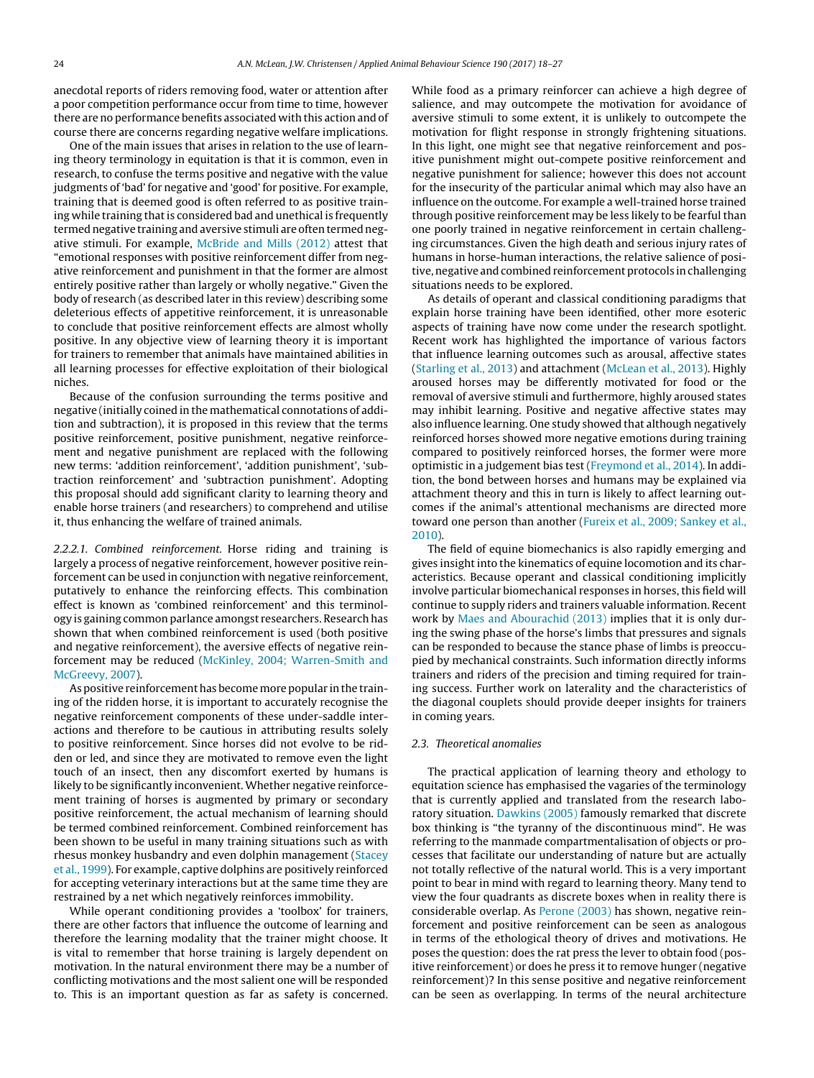anecdotal reports of riders removing food, water or attention after a poor competition performance occur from time to time, however there are no performance benefits associated with this action and of course there are concerns regarding negative welfare implications.

One of the main issues that arises in relation to the use of learning theory terminology in equitation is that it is common, even in research, to confuse the terms positive and negative with the value judgments of 'bad' for negative and 'good' for positive. For example, training that is deemed good is often referred to as positive training while training that is considered bad and unethical is frequently termed negative training and aversive stimuli are often termed negative stimuli. For example, [McBride](#page-9-0) [and](#page-9-0) [Mills](#page-9-0) [\(2012\)](#page-9-0) attest that "emotional responses with positive reinforcement differ from negative reinforcement and punishment in that the former are almost entirely positive rather than largely or wholly negative." Given the body of research (as described later in this review) describing some deleterious effects of appetitive reinforcement, it is unreasonable to conclude that positive reinforcement effects are almost wholly positive. In any objective view of learning theory it is important for trainers to remember that animals have maintained abilities in all learning processes for effective exploitation of their biological niches.

Because of the confusion surrounding the terms positive and negative (initially coined in the mathematical connotations of addition and subtraction), it is proposed in this review that the terms positive reinforcement, positive punishment, negative reinforcement and negative punishment are replaced with the following new terms: 'addition reinforcement', 'addition punishment', 'subtraction reinforcement' and 'subtraction punishment'. Adopting this proposal should add significant clarity to learning theory and enable horse trainers (and researchers) to comprehend and utilise it, thus enhancing the welfare of trained animals.

2.2.2.1. Combined reinforcement. Horse riding and training is largely a process of negative reinforcement, however positive reinforcement can be used in conjunction with negative reinforcement, putatively to enhance the reinforcing effects. This combination effect is known as 'combined reinforcement' and this terminology is gaining common parlance amongst researchers. Research has shown that when combined reinforcement is used (both positive and negative reinforcement), the aversive effects of negative reinforcement may be reduced [\(McKinley,](#page-9-0) [2004;](#page-9-0) [Warren-Smith](#page-9-0) [and](#page-9-0) [McGreevy,](#page-9-0) [2007\).](#page-9-0)

As positive reinforcement has become more popular in the training of the ridden horse, it is important to accurately recognise the negative reinforcement components of these under-saddle interactions and therefore to be cautious in attributing results solely to positive reinforcement. Since horses did not evolve to be ridden or led, and since they are motivated to remove even the light touch of an insect, then any discomfort exerted by humans is likely to be significantly inconvenient. Whether negative reinforcement training of horses is augmented by primary or secondary positive reinforcement, the actual mechanism of learning should be termed combined reinforcement. Combined reinforcement has been shown to be useful in many training situations such as with rhesus monkey husbandry and even dolphin management ([Stacey](#page-9-0) et [al.,](#page-9-0) [1999\).](#page-9-0) For example, captive dolphins are positively reinforced for accepting veterinary interactions but at the same time they are restrained by a net which negatively reinforces immobility.

While operant conditioning provides a 'toolbox' for trainers, there are other factors that influence the outcome of learning and therefore the learning modality that the trainer might choose. It is vital to remember that horse training is largely dependent on motivation. In the natural environment there may be a number of conflicting motivations and the most salient one will be responded to. This is an important question as far as safety is concerned.

While food as a primary reinforcer can achieve a high degree of salience, and may outcompete the motivation for avoidance of aversive stimuli to some extent, it is unlikely to outcompete the motivation for flight response in strongly frightening situations. In this light, one might see that negative reinforcement and positive punishment might out-compete positive reinforcement and negative punishment for salience; however this does not account for the insecurity of the particular animal which may also have an influence on the outcome. For example a well-trained horse trained through positive reinforcement may be less likely to be fearful than one poorly trained in negative reinforcement in certain challenging circumstances. Given the high death and serious injury rates of humans in horse-human interactions, the relative salience of positive, negative and combined reinforcement protocols in challenging situations needs to be explored.

As details of operant and classical conditioning paradigms that explain horse training have been identified, other more esoteric aspects of training have now come under the research spotlight. Recent work has highlighted the importance of various factors that influence learning outcomes such as arousal, affective states [\(Starling](#page-9-0) et [al.,](#page-9-0) [2013\)](#page-9-0) and attachment ([McLean](#page-9-0) et [al.,](#page-9-0) [2013\).](#page-9-0) Highly aroused horses may be differently motivated for food or the removal of aversive stimuli and furthermore, highly aroused states may inhibit learning. Positive and negative affective states may also influence learning. One study showed that although negatively reinforced horses showed more negative emotions during training compared to positively reinforced horses, the former were more optimistic in a judgement bias test ([Freymond](#page-8-0) et [al.,](#page-8-0) [2014\).](#page-8-0) In addition, the bond between horses and humans may be explained via attachment theory and this in turn is likely to affect learning outcomes if the animal's attentional mechanisms are directed more toward one person than another [\(Fureix](#page-8-0) et [al.,](#page-8-0) [2009;](#page-8-0) [Sankey](#page-8-0) et [al.,](#page-8-0) [2010\).](#page-8-0)

The field of equine biomechanics is also rapidly emerging and gives insight into the kinematics of equine locomotion and its characteristics. Because operant and classical conditioning implicitly involve particular biomechanical responses in horses, this field will continue to supply riders and trainers valuable information. Recent work by [Maes](#page-9-0) [and](#page-9-0) [Abourachid](#page-9-0) [\(2013\)](#page-9-0) implies that it is only during the swing phase of the horse's limbs that pressures and signals can be responded to because the stance phase of limbs is preoccupied by mechanical constraints. Such information directly informs trainers and riders of the precision and timing required for training success. Further work on laterality and the characteristics of the diagonal couplets should provide deeper insights for trainers in coming years.

## 2.3. Theoretical anomalies

The practical application of learning theory and ethology to equitation science has emphasised the vagaries of the terminology that is currently applied and translated from the research laboratory situation. [Dawkins](#page-8-0) [\(2005\)](#page-8-0) famously remarked that discrete box thinking is "the tyranny of the discontinuous mind". He was referring to the manmade compartmentalisation of objects or processes that facilitate our understanding of nature but are actually not totally reflective of the natural world. This is a very important point to bear in mind with regard to learning theory. Many tend to view the four quadrants as discrete boxes when in reality there is considerable overlap. As [Perone](#page-9-0) [\(2003\)](#page-9-0) has shown, negative reinforcement and positive reinforcement can be seen as analogous in terms of the ethological theory of drives and motivations. He poses the question: does the rat press the lever to obtain food (positive reinforcement) or does he press it to remove hunger (negative reinforcement)? In this sense positive and negative reinforcement can be seen as overlapping. In terms of the neural architecture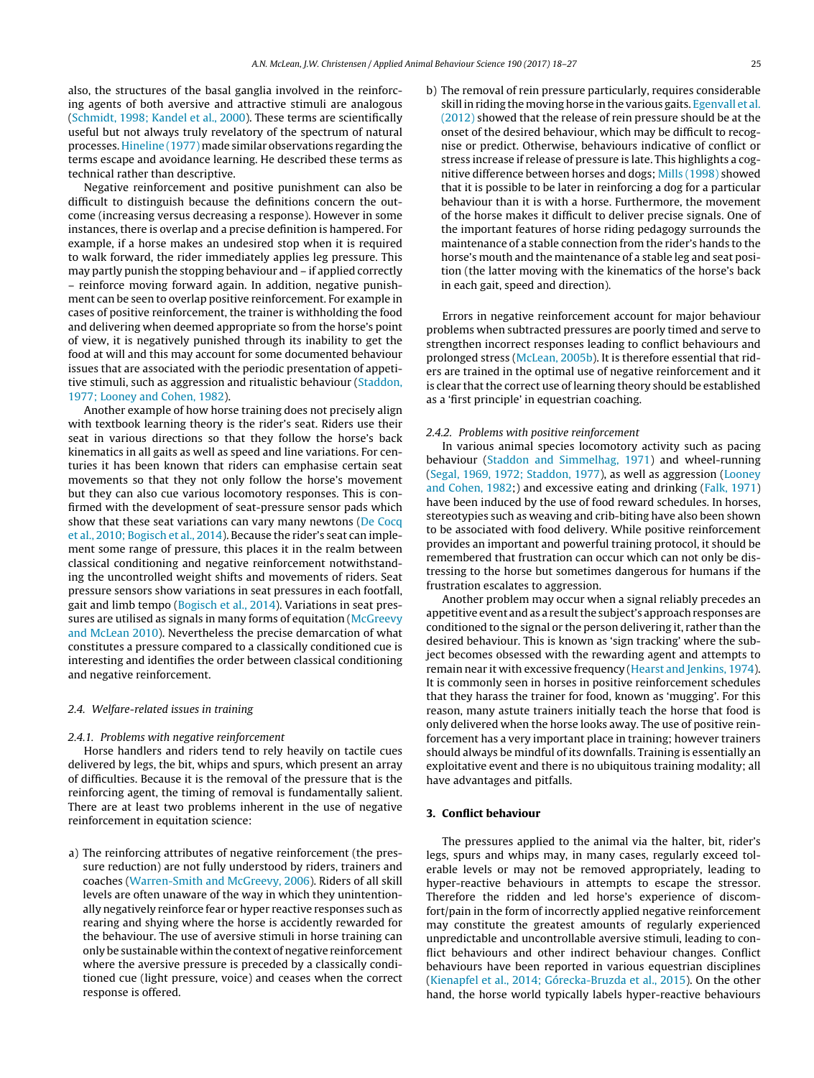also, the structures of the basal ganglia involved in the reinforcing agents of both aversive and attractive stimuli are analogous ([Schmidt,](#page-9-0) [1998;](#page-9-0) [Kandel](#page-9-0) et [al.,](#page-9-0) [2000\).](#page-9-0) These terms are scientifically useful but not always truly revelatory of the spectrum of natural processes. [Hineline](#page-9-0) [\(1977\)](#page-9-0) made similar observations regarding the terms escape and avoidance learning. He described these terms as technical rather than descriptive.

Negative reinforcement and positive punishment can also be difficult to distinguish because the definitions concern the outcome (increasing versus decreasing a response). However in some instances, there is overlap and a precise definition is hampered. For example, if a horse makes an undesired stop when it is required to walk forward, the rider immediately applies leg pressure. This may partly punish the stopping behaviour and – if applied correctly – reinforce moving forward again. In addition, negative punishment can be seen to overlap positive reinforcement. For example in cases of positive reinforcement, the trainer is withholding the food and delivering when deemed appropriate so from the horse's point of view, it is negatively punished through its inability to get the food at will and this may account for some documented behaviour issues that are associated with the periodic presentation of appetitive stimuli, such as aggression and ritualistic behaviour [\(Staddon,](#page-9-0) [1977;](#page-9-0) [Looney](#page-9-0) [and](#page-9-0) [Cohen,](#page-9-0) [1982\).](#page-9-0)

Another example of how horse training does not precisely align with textbook learning theory is the rider's seat. Riders use their seat in various directions so that they follow the horse's back kinematics in all gaits as well as speed and line variations. For centuries it has been known that riders can emphasise certain seat movements so that they not only follow the horse's movement but they can also cue various locomotory responses. This is confirmed with the development of seat-pressure sensor pads which show that these seat variations can vary many newtons ([De](#page-8-0) [Cocq](#page-8-0) et [al.,](#page-8-0) [2010;](#page-8-0) [Bogisch](#page-8-0) et [al.,](#page-8-0) [2014\).](#page-8-0) Because the rider's seat can implement some range of pressure, this places it in the realm between classical conditioning and negative reinforcement notwithstanding the uncontrolled weight shifts and movements of riders. Seat pressure sensors show variations in seat pressures in each footfall, gait and limb tempo [\(Bogisch](#page-8-0) et [al.,](#page-8-0) [2014\).](#page-8-0) Variations in seat pressures are utilised as signals in many forms of equitation ([McGreevy](#page-9-0) [and](#page-9-0) [McLean](#page-9-0) [2010\).](#page-9-0) Nevertheless the precise demarcation of what constitutes a pressure compared to a classically conditioned cue is interesting and identifies the order between classical conditioning and negative reinforcement.

## 2.4. Welfare-related issues in training

### 2.4.1. Problems with negative reinforcement

Horse handlers and riders tend to rely heavily on tactile cues delivered by legs, the bit, whips and spurs, which present an array of difficulties. Because it is the removal of the pressure that is the reinforcing agent, the timing of removal is fundamentally salient. There are at least two problems inherent in the use of negative reinforcement in equitation science:

a) The reinforcing attributes of negative reinforcement (the pressure reduction) are not fully understood by riders, trainers and coaches [\(Warren-Smith](#page-9-0) [and](#page-9-0) [McGreevy,](#page-9-0) [2006\).](#page-9-0) Riders of all skill levels are often unaware of the way in which they unintentionally negatively reinforce fear or hyper reactive responses such as rearing and shying where the horse is accidently rewarded for the behaviour. The use of aversive stimuli in horse training can only be sustainable within the context of negative reinforcement where the aversive pressure is preceded by a classically conditioned cue (light pressure, voice) and ceases when the correct response is offered.

b) The removal of rein pressure particularly, requires considerable skill in riding the moving horse in the various gaits. [Egenvall](#page-8-0) et [al.](#page-8-0) [\(2012\)](#page-8-0) showed that the release of rein pressure should be at the onset of the desired behaviour, which may be difficult to recognise or predict. Otherwise, behaviours indicative of conflict or stress increase if release of pressure is late. This highlights a cognitive difference between horses and dogs; [Mills](#page-9-0) [\(1998\)](#page-9-0) showed that it is possible to be later in reinforcing a dog for a particular behaviour than it is with a horse. Furthermore, the movement of the horse makes it difficult to deliver precise signals. One of the important features of horse riding pedagogy surrounds the maintenance of a stable connection from the rider's hands to the horse's mouth and the maintenance of a stable leg and seat position (the latter moving with the kinematics of the horse's back in each gait, speed and direction).

Errors in negative reinforcement account for major behaviour problems when subtracted pressures are poorly timed and serve to strengthen incorrect responses leading to conflict behaviours and prolonged stress ([McLean,](#page-9-0) [2005b\).](#page-9-0) It is therefore essential that riders are trained in the optimal use of negative reinforcement and it is clear that the correct use of learning theory should be established as a 'first principle' in equestrian coaching.

## 2.4.2. Problems with positive reinforcement

In various animal species locomotory activity such as pacing behaviour [\(Staddon](#page-9-0) [and](#page-9-0) [Simmelhag,](#page-9-0) [1971\)](#page-9-0) and wheel-running [\(Segal,](#page-9-0) [1969,](#page-9-0) [1972;](#page-9-0) [Staddon,](#page-9-0) [1977\),](#page-9-0) as well as aggression [\(Looney](#page-9-0) [and](#page-9-0) [Cohen,](#page-9-0) [1982;\)](#page-9-0) and excessive eating and drinking [\(Falk,](#page-8-0) [1971\)](#page-8-0) have been induced by the use of food reward schedules. In horses, stereotypies such as weaving and crib-biting have also been shown to be associated with food delivery. While positive reinforcement provides an important and powerful training protocol, it should be remembered that frustration can occur which can not only be distressing to the horse but sometimes dangerous for humans if the frustration escalates to aggression.

Another problem may occur when a signal reliably precedes an appetitive event and as a result the subject's approach responses are conditioned to the signal or the person delivering it, rather than the desired behaviour. This is known as 'sign tracking' where the subject becomes obsessed with the rewarding agent and attempts to remain near it with excessive frequency [\(Hearst](#page-9-0) [and](#page-9-0) [Jenkins,](#page-9-0) [1974\).](#page-9-0) It is commonly seen in horses in positive reinforcement schedules that they harass the trainer for food, known as 'mugging'. For this reason, many astute trainers initially teach the horse that food is only delivered when the horse looks away. The use of positive reinforcement has a very important place in training; however trainers should always be mindful of its downfalls. Training is essentially an exploitative event and there is no ubiquitous training modality; all have advantages and pitfalls.

## **3. Conflict behaviour**

The pressures applied to the animal via the halter, bit, rider's legs, spurs and whips may, in many cases, regularly exceed tolerable levels or may not be removed appropriately, leading to hyper-reactive behaviours in attempts to escape the stressor. Therefore the ridden and led horse's experience of discomfort/pain in the form of incorrectly applied negative reinforcement may constitute the greatest amounts of regularly experienced unpredictable and uncontrollable aversive stimuli, leading to conflict behaviours and other indirect behaviour changes. Conflict behaviours have been reported in various equestrian disciplines [\(Kienapfel](#page-9-0) et [al.,](#page-9-0) [2014;](#page-9-0) [Górecka-Bruzda](#page-9-0) et [al.,](#page-9-0) [2015\).](#page-9-0) On the other hand, the horse world typically labels hyper-reactive behaviours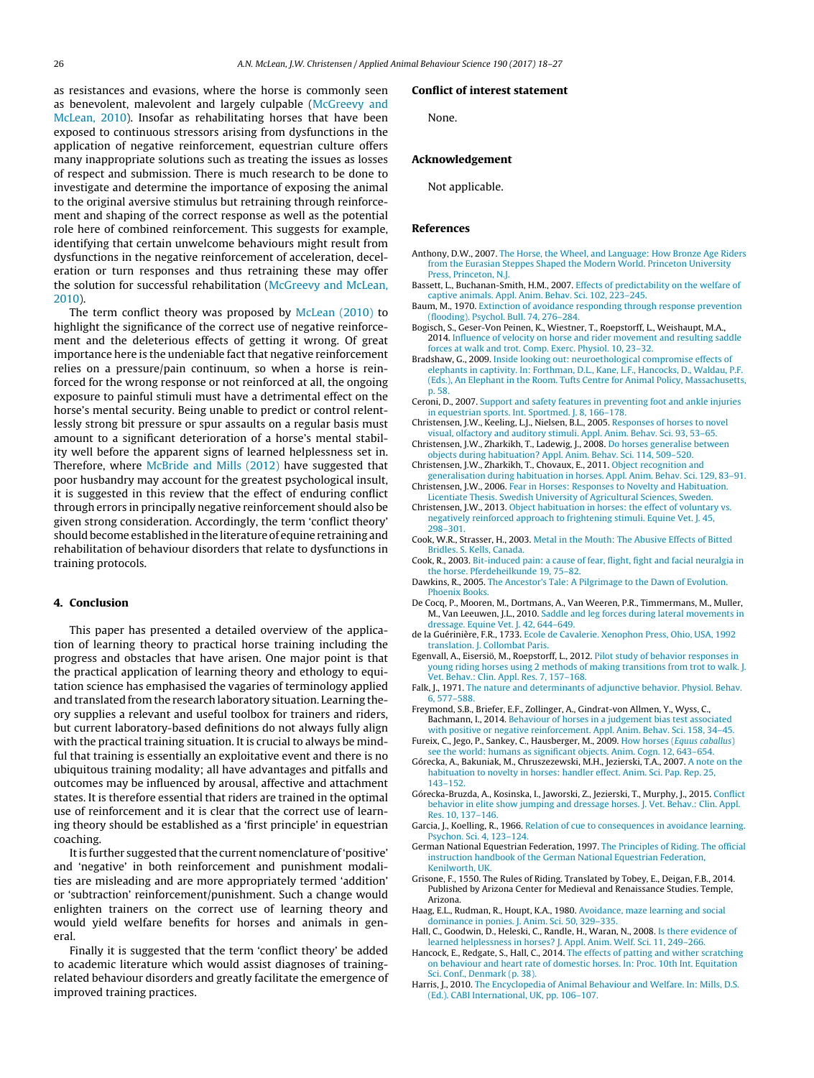<span id="page-8-0"></span>as resistances and evasions, where the horse is commonly seen as benevolent, malevolent and largely culpable ([McGreevy](#page-9-0) [and](#page-9-0) [McLean,](#page-9-0) [2010\).](#page-9-0) Insofar as rehabilitating horses that have been exposed to continuous stressors arising from dysfunctions in the application of negative reinforcement, equestrian culture offers many inappropriate solutions such as treating the issues as losses of respect and submission. There is much research to be done to investigate and determine the importance of exposing the animal to the original aversive stimulus but retraining through reinforcement and shaping of the correct response as well as the potential role here of combined reinforcement. This suggests for example, identifying that certain unwelcome behaviours might result from dysfunctions in the negative reinforcement of acceleration, deceleration or turn responses and thus retraining these may offer the solution for successful rehabilitation ([McGreevy](#page-9-0) [and](#page-9-0) [McLean,](#page-9-0) [2010\).](#page-9-0)

The term conflict theory was proposed by [McLean](#page-9-0) [\(2010\)](#page-9-0) to highlight the significance of the correct use of negative reinforcement and the deleterious effects of getting it wrong. Of great importance here is the undeniable fact that negative reinforcement relies on a pressure/pain continuum, so when a horse is reinforced for the wrong response or not reinforced at all, the ongoing exposure to painful stimuli must have a detrimental effect on the horse's mental security. Being unable to predict or control relentlessly strong bit pressure or spur assaults on a regular basis must amount to a significant deterioration of a horse's mental stability well before the apparent signs of learned helplessness set in. Therefore, where [McBride](#page-9-0) [and](#page-9-0) [Mills](#page-9-0) [\(2012\)](#page-9-0) have suggested that poor husbandry may account for the greatest psychological insult, it is suggested in this review that the effect of enduring conflict through errors in principally negative reinforcement should also be given strong consideration. Accordingly, the term 'conflict theory' should become established in the literature of equine retraining and rehabilitation of behaviour disorders that relate to dysfunctions in training protocols.

## **4. Conclusion**

This paper has presented a detailed overview of the application of learning theory to practical horse training including the progress and obstacles that have arisen. One major point is that the practical application of learning theory and ethology to equitation science has emphasised the vagaries of terminology applied and translated from the research laboratory situation. Learning theory supplies a relevant and useful toolbox for trainers and riders, but current laboratory-based definitions do not always fully align with the practical training situation. It is crucial to always be mindful that training is essentially an exploitative event and there is no ubiquitous training modality; all have advantages and pitfalls and outcomes may be influenced by arousal, affective and attachment states. It is therefore essential that riders are trained in the optimal use of reinforcement and it is clear that the correct use of learning theory should be established as a 'first principle' in equestrian coaching.

It is further suggested that the current nomenclature of 'positive' and 'negative' in both reinforcement and punishment modalities are misleading and are more appropriately termed 'addition' or 'subtraction' reinforcement/punishment. Such a change would enlighten trainers on the correct use of learning theory and would yield welfare benefits for horses and animals in general.

Finally it is suggested that the term 'conflict theory' be added to academic literature which would assist diagnoses of trainingrelated behaviour disorders and greatly facilitate the emergence of improved training practices.

#### **Conflict of interest statement**

None.

## **Acknowledgement**

Not applicable.

## **References**

- Anthony, D.W., 2007. [The](http://refhub.elsevier.com/S0168-1591(17)30071-0/sbref0005) [Horse,](http://refhub.elsevier.com/S0168-1591(17)30071-0/sbref0005) [the](http://refhub.elsevier.com/S0168-1591(17)30071-0/sbref0005) [Wheel,](http://refhub.elsevier.com/S0168-1591(17)30071-0/sbref0005) [and](http://refhub.elsevier.com/S0168-1591(17)30071-0/sbref0005) [Language:](http://refhub.elsevier.com/S0168-1591(17)30071-0/sbref0005) [How](http://refhub.elsevier.com/S0168-1591(17)30071-0/sbref0005) [Bronze](http://refhub.elsevier.com/S0168-1591(17)30071-0/sbref0005) [Age](http://refhub.elsevier.com/S0168-1591(17)30071-0/sbref0005) [Riders](http://refhub.elsevier.com/S0168-1591(17)30071-0/sbref0005) [from](http://refhub.elsevier.com/S0168-1591(17)30071-0/sbref0005) [the](http://refhub.elsevier.com/S0168-1591(17)30071-0/sbref0005) [Eurasian](http://refhub.elsevier.com/S0168-1591(17)30071-0/sbref0005) [Steppes](http://refhub.elsevier.com/S0168-1591(17)30071-0/sbref0005) [Shaped](http://refhub.elsevier.com/S0168-1591(17)30071-0/sbref0005) [the](http://refhub.elsevier.com/S0168-1591(17)30071-0/sbref0005) [Modern](http://refhub.elsevier.com/S0168-1591(17)30071-0/sbref0005) [World.](http://refhub.elsevier.com/S0168-1591(17)30071-0/sbref0005) [Princeton](http://refhub.elsevier.com/S0168-1591(17)30071-0/sbref0005) [University](http://refhub.elsevier.com/S0168-1591(17)30071-0/sbref0005) [Press,](http://refhub.elsevier.com/S0168-1591(17)30071-0/sbref0005) [Princeton,](http://refhub.elsevier.com/S0168-1591(17)30071-0/sbref0005) [N.J.](http://refhub.elsevier.com/S0168-1591(17)30071-0/sbref0005)
- Bassett, L., Buchanan-Smith, H.M., 2007. [Effects](http://refhub.elsevier.com/S0168-1591(17)30071-0/sbref0010) [of](http://refhub.elsevier.com/S0168-1591(17)30071-0/sbref0010) [predictability](http://refhub.elsevier.com/S0168-1591(17)30071-0/sbref0010) [on](http://refhub.elsevier.com/S0168-1591(17)30071-0/sbref0010) [the](http://refhub.elsevier.com/S0168-1591(17)30071-0/sbref0010) [welfare](http://refhub.elsevier.com/S0168-1591(17)30071-0/sbref0010) [of](http://refhub.elsevier.com/S0168-1591(17)30071-0/sbref0010) [captive](http://refhub.elsevier.com/S0168-1591(17)30071-0/sbref0010) [animals.](http://refhub.elsevier.com/S0168-1591(17)30071-0/sbref0010) [Appl.](http://refhub.elsevier.com/S0168-1591(17)30071-0/sbref0010) [Anim.](http://refhub.elsevier.com/S0168-1591(17)30071-0/sbref0010) [Behav.](http://refhub.elsevier.com/S0168-1591(17)30071-0/sbref0010) [Sci.](http://refhub.elsevier.com/S0168-1591(17)30071-0/sbref0010) [102,](http://refhub.elsevier.com/S0168-1591(17)30071-0/sbref0010) [223](http://refhub.elsevier.com/S0168-1591(17)30071-0/sbref0010)–[245.](http://refhub.elsevier.com/S0168-1591(17)30071-0/sbref0010)
- Baum, M., 1970. [Extinction](http://refhub.elsevier.com/S0168-1591(17)30071-0/sbref0015) [of](http://refhub.elsevier.com/S0168-1591(17)30071-0/sbref0015) [avoidance](http://refhub.elsevier.com/S0168-1591(17)30071-0/sbref0015) [responding](http://refhub.elsevier.com/S0168-1591(17)30071-0/sbref0015) [through](http://refhub.elsevier.com/S0168-1591(17)30071-0/sbref0015) [response](http://refhub.elsevier.com/S0168-1591(17)30071-0/sbref0015) [prevention](http://refhub.elsevier.com/S0168-1591(17)30071-0/sbref0015) [\(flooding\).](http://refhub.elsevier.com/S0168-1591(17)30071-0/sbref0015) [Psychol.](http://refhub.elsevier.com/S0168-1591(17)30071-0/sbref0015) [Bull.](http://refhub.elsevier.com/S0168-1591(17)30071-0/sbref0015) [74,](http://refhub.elsevier.com/S0168-1591(17)30071-0/sbref0015) [276](http://refhub.elsevier.com/S0168-1591(17)30071-0/sbref0015)–[284.](http://refhub.elsevier.com/S0168-1591(17)30071-0/sbref0015)
- Bogisch, S., Geser-Von Peinen, K., Wiestner, T., Roepstorff, L., Weishaupt, M.A., 2014. [Influence](http://refhub.elsevier.com/S0168-1591(17)30071-0/sbref0020) [of](http://refhub.elsevier.com/S0168-1591(17)30071-0/sbref0020) [velocity](http://refhub.elsevier.com/S0168-1591(17)30071-0/sbref0020) [on](http://refhub.elsevier.com/S0168-1591(17)30071-0/sbref0020) [horse](http://refhub.elsevier.com/S0168-1591(17)30071-0/sbref0020) [and](http://refhub.elsevier.com/S0168-1591(17)30071-0/sbref0020) [rider](http://refhub.elsevier.com/S0168-1591(17)30071-0/sbref0020) [movement](http://refhub.elsevier.com/S0168-1591(17)30071-0/sbref0020) [and](http://refhub.elsevier.com/S0168-1591(17)30071-0/sbref0020) [resulting](http://refhub.elsevier.com/S0168-1591(17)30071-0/sbref0020) [saddle](http://refhub.elsevier.com/S0168-1591(17)30071-0/sbref0020) [forces](http://refhub.elsevier.com/S0168-1591(17)30071-0/sbref0020) [at](http://refhub.elsevier.com/S0168-1591(17)30071-0/sbref0020) [walk](http://refhub.elsevier.com/S0168-1591(17)30071-0/sbref0020) [and](http://refhub.elsevier.com/S0168-1591(17)30071-0/sbref0020) [trot.](http://refhub.elsevier.com/S0168-1591(17)30071-0/sbref0020) [Comp.](http://refhub.elsevier.com/S0168-1591(17)30071-0/sbref0020) [Exerc.](http://refhub.elsevier.com/S0168-1591(17)30071-0/sbref0020) [Physiol.](http://refhub.elsevier.com/S0168-1591(17)30071-0/sbref0020) [10,](http://refhub.elsevier.com/S0168-1591(17)30071-0/sbref0020) [23](http://refhub.elsevier.com/S0168-1591(17)30071-0/sbref0020)–[32.](http://refhub.elsevier.com/S0168-1591(17)30071-0/sbref0020)
- Bradshaw, G., 2009. [Inside](http://refhub.elsevier.com/S0168-1591(17)30071-0/sbref0025) [looking](http://refhub.elsevier.com/S0168-1591(17)30071-0/sbref0025) [out:](http://refhub.elsevier.com/S0168-1591(17)30071-0/sbref0025) [neuroethological](http://refhub.elsevier.com/S0168-1591(17)30071-0/sbref0025) [compromise](http://refhub.elsevier.com/S0168-1591(17)30071-0/sbref0025) [effects](http://refhub.elsevier.com/S0168-1591(17)30071-0/sbref0025) [of](http://refhub.elsevier.com/S0168-1591(17)30071-0/sbref0025) [elephants](http://refhub.elsevier.com/S0168-1591(17)30071-0/sbref0025) [in](http://refhub.elsevier.com/S0168-1591(17)30071-0/sbref0025) [captivity.](http://refhub.elsevier.com/S0168-1591(17)30071-0/sbref0025) [In:](http://refhub.elsevier.com/S0168-1591(17)30071-0/sbref0025) [Forthman,](http://refhub.elsevier.com/S0168-1591(17)30071-0/sbref0025) [D.L.,](http://refhub.elsevier.com/S0168-1591(17)30071-0/sbref0025) [Kane,](http://refhub.elsevier.com/S0168-1591(17)30071-0/sbref0025) [L.F.,](http://refhub.elsevier.com/S0168-1591(17)30071-0/sbref0025) [Hancocks,](http://refhub.elsevier.com/S0168-1591(17)30071-0/sbref0025) [D.,](http://refhub.elsevier.com/S0168-1591(17)30071-0/sbref0025) [Waldau,](http://refhub.elsevier.com/S0168-1591(17)30071-0/sbref0025) [P.F.](http://refhub.elsevier.com/S0168-1591(17)30071-0/sbref0025) [\(Eds.\),](http://refhub.elsevier.com/S0168-1591(17)30071-0/sbref0025) [An](http://refhub.elsevier.com/S0168-1591(17)30071-0/sbref0025) [Elephant](http://refhub.elsevier.com/S0168-1591(17)30071-0/sbref0025) [in](http://refhub.elsevier.com/S0168-1591(17)30071-0/sbref0025) [the](http://refhub.elsevier.com/S0168-1591(17)30071-0/sbref0025) [Room.](http://refhub.elsevier.com/S0168-1591(17)30071-0/sbref0025) [Tufts](http://refhub.elsevier.com/S0168-1591(17)30071-0/sbref0025) [Centre](http://refhub.elsevier.com/S0168-1591(17)30071-0/sbref0025) [for](http://refhub.elsevier.com/S0168-1591(17)30071-0/sbref0025) [Animal](http://refhub.elsevier.com/S0168-1591(17)30071-0/sbref0025) [Policy,](http://refhub.elsevier.com/S0168-1591(17)30071-0/sbref0025) [Massachusetts,](http://refhub.elsevier.com/S0168-1591(17)30071-0/sbref0025) [p.](http://refhub.elsevier.com/S0168-1591(17)30071-0/sbref0025) [58.](http://refhub.elsevier.com/S0168-1591(17)30071-0/sbref0025)
- Ceroni, D., 2007. [Support](http://refhub.elsevier.com/S0168-1591(17)30071-0/sbref0030) [and](http://refhub.elsevier.com/S0168-1591(17)30071-0/sbref0030) [safety](http://refhub.elsevier.com/S0168-1591(17)30071-0/sbref0030) [features](http://refhub.elsevier.com/S0168-1591(17)30071-0/sbref0030) [in](http://refhub.elsevier.com/S0168-1591(17)30071-0/sbref0030) [preventing](http://refhub.elsevier.com/S0168-1591(17)30071-0/sbref0030) [foot](http://refhub.elsevier.com/S0168-1591(17)30071-0/sbref0030) [and](http://refhub.elsevier.com/S0168-1591(17)30071-0/sbref0030) [ankle](http://refhub.elsevier.com/S0168-1591(17)30071-0/sbref0030) [injuries](http://refhub.elsevier.com/S0168-1591(17)30071-0/sbref0030) [in](http://refhub.elsevier.com/S0168-1591(17)30071-0/sbref0030) [equestrian](http://refhub.elsevier.com/S0168-1591(17)30071-0/sbref0030) [sports.](http://refhub.elsevier.com/S0168-1591(17)30071-0/sbref0030) [Int.](http://refhub.elsevier.com/S0168-1591(17)30071-0/sbref0030) [Sportmed.](http://refhub.elsevier.com/S0168-1591(17)30071-0/sbref0030) [J.](http://refhub.elsevier.com/S0168-1591(17)30071-0/sbref0030) [8,](http://refhub.elsevier.com/S0168-1591(17)30071-0/sbref0030) [166–178.](http://refhub.elsevier.com/S0168-1591(17)30071-0/sbref0030)
- Christensen, J.W., Keeling, L.J., Nielsen, B.L., 2005. [Responses](http://refhub.elsevier.com/S0168-1591(17)30071-0/sbref0035) [of](http://refhub.elsevier.com/S0168-1591(17)30071-0/sbref0035) [horses](http://refhub.elsevier.com/S0168-1591(17)30071-0/sbref0035) [to](http://refhub.elsevier.com/S0168-1591(17)30071-0/sbref0035) [novel](http://refhub.elsevier.com/S0168-1591(17)30071-0/sbref0035) [visual,](http://refhub.elsevier.com/S0168-1591(17)30071-0/sbref0035) [olfactory](http://refhub.elsevier.com/S0168-1591(17)30071-0/sbref0035) [and](http://refhub.elsevier.com/S0168-1591(17)30071-0/sbref0035) [auditory](http://refhub.elsevier.com/S0168-1591(17)30071-0/sbref0035) [stimuli.](http://refhub.elsevier.com/S0168-1591(17)30071-0/sbref0035) [Appl.](http://refhub.elsevier.com/S0168-1591(17)30071-0/sbref0035) [Anim.](http://refhub.elsevier.com/S0168-1591(17)30071-0/sbref0035) [Behav.](http://refhub.elsevier.com/S0168-1591(17)30071-0/sbref0035) [Sci.](http://refhub.elsevier.com/S0168-1591(17)30071-0/sbref0035) [93,](http://refhub.elsevier.com/S0168-1591(17)30071-0/sbref0035) [53–65.](http://refhub.elsevier.com/S0168-1591(17)30071-0/sbref0035)
- Christensen, J.W., Zharkikh, T., Ladewig, J., 2008. [Do](http://refhub.elsevier.com/S0168-1591(17)30071-0/sbref0040) [horses](http://refhub.elsevier.com/S0168-1591(17)30071-0/sbref0040) [generalise](http://refhub.elsevier.com/S0168-1591(17)30071-0/sbref0040) [between](http://refhub.elsevier.com/S0168-1591(17)30071-0/sbref0040) [objects](http://refhub.elsevier.com/S0168-1591(17)30071-0/sbref0040) [during](http://refhub.elsevier.com/S0168-1591(17)30071-0/sbref0040) [habituation?](http://refhub.elsevier.com/S0168-1591(17)30071-0/sbref0040) [Appl.](http://refhub.elsevier.com/S0168-1591(17)30071-0/sbref0040) [Anim.](http://refhub.elsevier.com/S0168-1591(17)30071-0/sbref0040) [Behav.](http://refhub.elsevier.com/S0168-1591(17)30071-0/sbref0040) [Sci.](http://refhub.elsevier.com/S0168-1591(17)30071-0/sbref0040) [114,](http://refhub.elsevier.com/S0168-1591(17)30071-0/sbref0040) [509–520.](http://refhub.elsevier.com/S0168-1591(17)30071-0/sbref0040)
- Christensen, J.W., Zharkikh, T., Chovaux, E., 2011. [Object](http://refhub.elsevier.com/S0168-1591(17)30071-0/sbref0045) [recognition](http://refhub.elsevier.com/S0168-1591(17)30071-0/sbref0045) [and](http://refhub.elsevier.com/S0168-1591(17)30071-0/sbref0045) [generalisation](http://refhub.elsevier.com/S0168-1591(17)30071-0/sbref0045) [during](http://refhub.elsevier.com/S0168-1591(17)30071-0/sbref0045) [habituation](http://refhub.elsevier.com/S0168-1591(17)30071-0/sbref0045) [in](http://refhub.elsevier.com/S0168-1591(17)30071-0/sbref0045) [horses.](http://refhub.elsevier.com/S0168-1591(17)30071-0/sbref0045) [Appl.](http://refhub.elsevier.com/S0168-1591(17)30071-0/sbref0045) [Anim.](http://refhub.elsevier.com/S0168-1591(17)30071-0/sbref0045) [Behav.](http://refhub.elsevier.com/S0168-1591(17)30071-0/sbref0045) [Sci.](http://refhub.elsevier.com/S0168-1591(17)30071-0/sbref0045) [129,](http://refhub.elsevier.com/S0168-1591(17)30071-0/sbref0045) [83–91.](http://refhub.elsevier.com/S0168-1591(17)30071-0/sbref0045)
- Christensen, J.W., 2006. [Fear](http://refhub.elsevier.com/S0168-1591(17)30071-0/sbref0050) [in](http://refhub.elsevier.com/S0168-1591(17)30071-0/sbref0050) [Horses:](http://refhub.elsevier.com/S0168-1591(17)30071-0/sbref0050) [Responses](http://refhub.elsevier.com/S0168-1591(17)30071-0/sbref0050) [to](http://refhub.elsevier.com/S0168-1591(17)30071-0/sbref0050) [Novelty](http://refhub.elsevier.com/S0168-1591(17)30071-0/sbref0050) [and](http://refhub.elsevier.com/S0168-1591(17)30071-0/sbref0050) [Habituation.](http://refhub.elsevier.com/S0168-1591(17)30071-0/sbref0050) [Licentiate](http://refhub.elsevier.com/S0168-1591(17)30071-0/sbref0050) [Thesis.](http://refhub.elsevier.com/S0168-1591(17)30071-0/sbref0050) [Swedish](http://refhub.elsevier.com/S0168-1591(17)30071-0/sbref0050) [University](http://refhub.elsevier.com/S0168-1591(17)30071-0/sbref0050) [of](http://refhub.elsevier.com/S0168-1591(17)30071-0/sbref0050) [Agricultural](http://refhub.elsevier.com/S0168-1591(17)30071-0/sbref0050) [Sciences,](http://refhub.elsevier.com/S0168-1591(17)30071-0/sbref0050) [Sweden.](http://refhub.elsevier.com/S0168-1591(17)30071-0/sbref0050)
- Christensen, J.W., 2013. [Object](http://refhub.elsevier.com/S0168-1591(17)30071-0/sbref0055) [habituation](http://refhub.elsevier.com/S0168-1591(17)30071-0/sbref0055) [in](http://refhub.elsevier.com/S0168-1591(17)30071-0/sbref0055) [horses:](http://refhub.elsevier.com/S0168-1591(17)30071-0/sbref0055) [the](http://refhub.elsevier.com/S0168-1591(17)30071-0/sbref0055) [effect](http://refhub.elsevier.com/S0168-1591(17)30071-0/sbref0055) [of](http://refhub.elsevier.com/S0168-1591(17)30071-0/sbref0055) [voluntary](http://refhub.elsevier.com/S0168-1591(17)30071-0/sbref0055) [vs.](http://refhub.elsevier.com/S0168-1591(17)30071-0/sbref0055) [negatively](http://refhub.elsevier.com/S0168-1591(17)30071-0/sbref0055) [reinforced](http://refhub.elsevier.com/S0168-1591(17)30071-0/sbref0055) [approach](http://refhub.elsevier.com/S0168-1591(17)30071-0/sbref0055) [to](http://refhub.elsevier.com/S0168-1591(17)30071-0/sbref0055) [frightening](http://refhub.elsevier.com/S0168-1591(17)30071-0/sbref0055) [stimuli.](http://refhub.elsevier.com/S0168-1591(17)30071-0/sbref0055) [Equine](http://refhub.elsevier.com/S0168-1591(17)30071-0/sbref0055) [Vet.](http://refhub.elsevier.com/S0168-1591(17)30071-0/sbref0055) [J.](http://refhub.elsevier.com/S0168-1591(17)30071-0/sbref0055) [45,](http://refhub.elsevier.com/S0168-1591(17)30071-0/sbref0055) [298](http://refhub.elsevier.com/S0168-1591(17)30071-0/sbref0055)–[301.](http://refhub.elsevier.com/S0168-1591(17)30071-0/sbref0055)
- Cook, W.R., Strasser, H., 2003. [Metal](http://refhub.elsevier.com/S0168-1591(17)30071-0/sbref0060) [in](http://refhub.elsevier.com/S0168-1591(17)30071-0/sbref0060) [the](http://refhub.elsevier.com/S0168-1591(17)30071-0/sbref0060) [Mouth:](http://refhub.elsevier.com/S0168-1591(17)30071-0/sbref0060) [The](http://refhub.elsevier.com/S0168-1591(17)30071-0/sbref0060) [Abusive](http://refhub.elsevier.com/S0168-1591(17)30071-0/sbref0060) [Effects](http://refhub.elsevier.com/S0168-1591(17)30071-0/sbref0060) [of](http://refhub.elsevier.com/S0168-1591(17)30071-0/sbref0060) [Bitted](http://refhub.elsevier.com/S0168-1591(17)30071-0/sbref0060) [Bridles.](http://refhub.elsevier.com/S0168-1591(17)30071-0/sbref0060) [S.](http://refhub.elsevier.com/S0168-1591(17)30071-0/sbref0060) [Kells,](http://refhub.elsevier.com/S0168-1591(17)30071-0/sbref0060) [Canada.](http://refhub.elsevier.com/S0168-1591(17)30071-0/sbref0060)
- Cook, R., 2003. [Bit-induced](http://refhub.elsevier.com/S0168-1591(17)30071-0/sbref0065) [pain:](http://refhub.elsevier.com/S0168-1591(17)30071-0/sbref0065) [a](http://refhub.elsevier.com/S0168-1591(17)30071-0/sbref0065) [cause](http://refhub.elsevier.com/S0168-1591(17)30071-0/sbref0065) [of](http://refhub.elsevier.com/S0168-1591(17)30071-0/sbref0065) [fear,](http://refhub.elsevier.com/S0168-1591(17)30071-0/sbref0065) [flight,](http://refhub.elsevier.com/S0168-1591(17)30071-0/sbref0065) [fight](http://refhub.elsevier.com/S0168-1591(17)30071-0/sbref0065) [and](http://refhub.elsevier.com/S0168-1591(17)30071-0/sbref0065) [facial](http://refhub.elsevier.com/S0168-1591(17)30071-0/sbref0065) [neuralgia](http://refhub.elsevier.com/S0168-1591(17)30071-0/sbref0065) [in](http://refhub.elsevier.com/S0168-1591(17)30071-0/sbref0065) [the](http://refhub.elsevier.com/S0168-1591(17)30071-0/sbref0065) [horse.](http://refhub.elsevier.com/S0168-1591(17)30071-0/sbref0065) [Pferdeheilkunde](http://refhub.elsevier.com/S0168-1591(17)30071-0/sbref0065) [19,](http://refhub.elsevier.com/S0168-1591(17)30071-0/sbref0065) [75](http://refhub.elsevier.com/S0168-1591(17)30071-0/sbref0065)–[82.](http://refhub.elsevier.com/S0168-1591(17)30071-0/sbref0065)
- Dawkins, R., 2005. [The](http://refhub.elsevier.com/S0168-1591(17)30071-0/sbref0070) [Ancestor's](http://refhub.elsevier.com/S0168-1591(17)30071-0/sbref0070) [Tale:](http://refhub.elsevier.com/S0168-1591(17)30071-0/sbref0070) [A](http://refhub.elsevier.com/S0168-1591(17)30071-0/sbref0070) [Pilgrimage](http://refhub.elsevier.com/S0168-1591(17)30071-0/sbref0070) [to](http://refhub.elsevier.com/S0168-1591(17)30071-0/sbref0070) [the](http://refhub.elsevier.com/S0168-1591(17)30071-0/sbref0070) [Dawn](http://refhub.elsevier.com/S0168-1591(17)30071-0/sbref0070) [of](http://refhub.elsevier.com/S0168-1591(17)30071-0/sbref0070) [Evolution.](http://refhub.elsevier.com/S0168-1591(17)30071-0/sbref0070) [Phoenix](http://refhub.elsevier.com/S0168-1591(17)30071-0/sbref0070) [Books.](http://refhub.elsevier.com/S0168-1591(17)30071-0/sbref0070)
- De Cocq, P., Mooren, M., Dortmans, A., Van Weeren, P.R., Timmermans, M., Muller, M., Van Leeuwen, J.L., 2010. [Saddle](http://refhub.elsevier.com/S0168-1591(17)30071-0/sbref0075) [and](http://refhub.elsevier.com/S0168-1591(17)30071-0/sbref0075) [leg](http://refhub.elsevier.com/S0168-1591(17)30071-0/sbref0075) [forces](http://refhub.elsevier.com/S0168-1591(17)30071-0/sbref0075) [during](http://refhub.elsevier.com/S0168-1591(17)30071-0/sbref0075) [lateral](http://refhub.elsevier.com/S0168-1591(17)30071-0/sbref0075) [movements](http://refhub.elsevier.com/S0168-1591(17)30071-0/sbref0075) [in](http://refhub.elsevier.com/S0168-1591(17)30071-0/sbref0075) [dressage.](http://refhub.elsevier.com/S0168-1591(17)30071-0/sbref0075) [Equine](http://refhub.elsevier.com/S0168-1591(17)30071-0/sbref0075) [Vet.](http://refhub.elsevier.com/S0168-1591(17)30071-0/sbref0075) [J.](http://refhub.elsevier.com/S0168-1591(17)30071-0/sbref0075) [42,](http://refhub.elsevier.com/S0168-1591(17)30071-0/sbref0075) [644–649.](http://refhub.elsevier.com/S0168-1591(17)30071-0/sbref0075)
- de la Guérinière, F.R., 1733. [Ecole](http://refhub.elsevier.com/S0168-1591(17)30071-0/sbref0080) [de](http://refhub.elsevier.com/S0168-1591(17)30071-0/sbref0080) [Cavalerie.](http://refhub.elsevier.com/S0168-1591(17)30071-0/sbref0080) [Xenophon](http://refhub.elsevier.com/S0168-1591(17)30071-0/sbref0080) [Press,](http://refhub.elsevier.com/S0168-1591(17)30071-0/sbref0080) [Ohio,](http://refhub.elsevier.com/S0168-1591(17)30071-0/sbref0080) [USA,](http://refhub.elsevier.com/S0168-1591(17)30071-0/sbref0080) [1992](http://refhub.elsevier.com/S0168-1591(17)30071-0/sbref0080) [translation.](http://refhub.elsevier.com/S0168-1591(17)30071-0/sbref0080) [J.](http://refhub.elsevier.com/S0168-1591(17)30071-0/sbref0080) [Collombat](http://refhub.elsevier.com/S0168-1591(17)30071-0/sbref0080) [Paris.](http://refhub.elsevier.com/S0168-1591(17)30071-0/sbref0080)
- Egenvall, A., Eisersiö, M., Roepstorff, L., 2012. [Pilot](http://refhub.elsevier.com/S0168-1591(17)30071-0/sbref0085) [study](http://refhub.elsevier.com/S0168-1591(17)30071-0/sbref0085) [of](http://refhub.elsevier.com/S0168-1591(17)30071-0/sbref0085) [behavior](http://refhub.elsevier.com/S0168-1591(17)30071-0/sbref0085) [responses](http://refhub.elsevier.com/S0168-1591(17)30071-0/sbref0085) [in](http://refhub.elsevier.com/S0168-1591(17)30071-0/sbref0085) [young](http://refhub.elsevier.com/S0168-1591(17)30071-0/sbref0085) [riding](http://refhub.elsevier.com/S0168-1591(17)30071-0/sbref0085) [horses](http://refhub.elsevier.com/S0168-1591(17)30071-0/sbref0085) [using](http://refhub.elsevier.com/S0168-1591(17)30071-0/sbref0085) [2](http://refhub.elsevier.com/S0168-1591(17)30071-0/sbref0085) [methods](http://refhub.elsevier.com/S0168-1591(17)30071-0/sbref0085) [of](http://refhub.elsevier.com/S0168-1591(17)30071-0/sbref0085) [making](http://refhub.elsevier.com/S0168-1591(17)30071-0/sbref0085) [transitions](http://refhub.elsevier.com/S0168-1591(17)30071-0/sbref0085) [from](http://refhub.elsevier.com/S0168-1591(17)30071-0/sbref0085) [trot](http://refhub.elsevier.com/S0168-1591(17)30071-0/sbref0085) [to](http://refhub.elsevier.com/S0168-1591(17)30071-0/sbref0085) [walk.](http://refhub.elsevier.com/S0168-1591(17)30071-0/sbref0085) [J.](http://refhub.elsevier.com/S0168-1591(17)30071-0/sbref0085) [Vet.](http://refhub.elsevier.com/S0168-1591(17)30071-0/sbref0085) [Behav.:](http://refhub.elsevier.com/S0168-1591(17)30071-0/sbref0085) [Clin.](http://refhub.elsevier.com/S0168-1591(17)30071-0/sbref0085) [Appl.](http://refhub.elsevier.com/S0168-1591(17)30071-0/sbref0085) [Res.](http://refhub.elsevier.com/S0168-1591(17)30071-0/sbref0085) [7,](http://refhub.elsevier.com/S0168-1591(17)30071-0/sbref0085) [157](http://refhub.elsevier.com/S0168-1591(17)30071-0/sbref0085)–[168.](http://refhub.elsevier.com/S0168-1591(17)30071-0/sbref0085)
- Falk, J., 1971. [The](http://refhub.elsevier.com/S0168-1591(17)30071-0/sbref0090) [nature](http://refhub.elsevier.com/S0168-1591(17)30071-0/sbref0090) [and](http://refhub.elsevier.com/S0168-1591(17)30071-0/sbref0090) [determinants](http://refhub.elsevier.com/S0168-1591(17)30071-0/sbref0090) [of](http://refhub.elsevier.com/S0168-1591(17)30071-0/sbref0090) [adjunctive](http://refhub.elsevier.com/S0168-1591(17)30071-0/sbref0090) [behavior.](http://refhub.elsevier.com/S0168-1591(17)30071-0/sbref0090) [Physiol.](http://refhub.elsevier.com/S0168-1591(17)30071-0/sbref0090) [Behav.](http://refhub.elsevier.com/S0168-1591(17)30071-0/sbref0090) [6,](http://refhub.elsevier.com/S0168-1591(17)30071-0/sbref0090) [577–588.](http://refhub.elsevier.com/S0168-1591(17)30071-0/sbref0090)
- Freymond, S.B., Briefer, E.F., Zollinger, A., Gindrat-von Allmen, Y., Wyss, C., Bachmann, I., 2014. [Behaviour](http://refhub.elsevier.com/S0168-1591(17)30071-0/sbref0095) [of](http://refhub.elsevier.com/S0168-1591(17)30071-0/sbref0095) [horses](http://refhub.elsevier.com/S0168-1591(17)30071-0/sbref0095) [in](http://refhub.elsevier.com/S0168-1591(17)30071-0/sbref0095) [a](http://refhub.elsevier.com/S0168-1591(17)30071-0/sbref0095) [judgement](http://refhub.elsevier.com/S0168-1591(17)30071-0/sbref0095) [bias](http://refhub.elsevier.com/S0168-1591(17)30071-0/sbref0095) [test](http://refhub.elsevier.com/S0168-1591(17)30071-0/sbref0095) [associated](http://refhub.elsevier.com/S0168-1591(17)30071-0/sbref0095) [with](http://refhub.elsevier.com/S0168-1591(17)30071-0/sbref0095) [positive](http://refhub.elsevier.com/S0168-1591(17)30071-0/sbref0095) [or](http://refhub.elsevier.com/S0168-1591(17)30071-0/sbref0095) [negative](http://refhub.elsevier.com/S0168-1591(17)30071-0/sbref0095) [reinforcement.](http://refhub.elsevier.com/S0168-1591(17)30071-0/sbref0095) [Appl.](http://refhub.elsevier.com/S0168-1591(17)30071-0/sbref0095) [Anim.](http://refhub.elsevier.com/S0168-1591(17)30071-0/sbref0095) [Behav.](http://refhub.elsevier.com/S0168-1591(17)30071-0/sbref0095) [Sci.](http://refhub.elsevier.com/S0168-1591(17)30071-0/sbref0095) [158,](http://refhub.elsevier.com/S0168-1591(17)30071-0/sbref0095) [34–45.](http://refhub.elsevier.com/S0168-1591(17)30071-0/sbref0095)
- Fureix, C., Jego, P., Sankey, C., Hausberger, M., 2009. [How](http://refhub.elsevier.com/S0168-1591(17)30071-0/sbref0100) [horses](http://refhub.elsevier.com/S0168-1591(17)30071-0/sbref0100) [\(](http://refhub.elsevier.com/S0168-1591(17)30071-0/sbref0100)[Equus](http://refhub.elsevier.com/S0168-1591(17)30071-0/sbref0100) [caballus](http://refhub.elsevier.com/S0168-1591(17)30071-0/sbref0100)[\)](http://refhub.elsevier.com/S0168-1591(17)30071-0/sbref0100) [see](http://refhub.elsevier.com/S0168-1591(17)30071-0/sbref0100) [the](http://refhub.elsevier.com/S0168-1591(17)30071-0/sbref0100) [world:](http://refhub.elsevier.com/S0168-1591(17)30071-0/sbref0100) [humans](http://refhub.elsevier.com/S0168-1591(17)30071-0/sbref0100) [as](http://refhub.elsevier.com/S0168-1591(17)30071-0/sbref0100) [significant](http://refhub.elsevier.com/S0168-1591(17)30071-0/sbref0100) [objects.](http://refhub.elsevier.com/S0168-1591(17)30071-0/sbref0100) [Anim.](http://refhub.elsevier.com/S0168-1591(17)30071-0/sbref0100) [Cogn.](http://refhub.elsevier.com/S0168-1591(17)30071-0/sbref0100) [12,](http://refhub.elsevier.com/S0168-1591(17)30071-0/sbref0100) [643–654.](http://refhub.elsevier.com/S0168-1591(17)30071-0/sbref0100)
- Górecka, A., Bakuniak, M., Chruszezewski, M.H., Jezierski, T.A., 2007. [A](http://refhub.elsevier.com/S0168-1591(17)30071-0/sbref0105) [note](http://refhub.elsevier.com/S0168-1591(17)30071-0/sbref0105) [on](http://refhub.elsevier.com/S0168-1591(17)30071-0/sbref0105) [the](http://refhub.elsevier.com/S0168-1591(17)30071-0/sbref0105) [habituation](http://refhub.elsevier.com/S0168-1591(17)30071-0/sbref0105) [to](http://refhub.elsevier.com/S0168-1591(17)30071-0/sbref0105) [novelty](http://refhub.elsevier.com/S0168-1591(17)30071-0/sbref0105) [in](http://refhub.elsevier.com/S0168-1591(17)30071-0/sbref0105) [horses:](http://refhub.elsevier.com/S0168-1591(17)30071-0/sbref0105) [handler](http://refhub.elsevier.com/S0168-1591(17)30071-0/sbref0105) [effect.](http://refhub.elsevier.com/S0168-1591(17)30071-0/sbref0105) [Anim.](http://refhub.elsevier.com/S0168-1591(17)30071-0/sbref0105) [Sci.](http://refhub.elsevier.com/S0168-1591(17)30071-0/sbref0105) [Pap.](http://refhub.elsevier.com/S0168-1591(17)30071-0/sbref0105) [Rep.](http://refhub.elsevier.com/S0168-1591(17)30071-0/sbref0105) [25,](http://refhub.elsevier.com/S0168-1591(17)30071-0/sbref0105) [143–152.](http://refhub.elsevier.com/S0168-1591(17)30071-0/sbref0105)
- Górecka-Bruzda, A., Kosinska, I., Jaworski, Z., Jezierski, T., Murphy, J., 2015. [Conflict](http://refhub.elsevier.com/S0168-1591(17)30071-0/sbref0110) [behavior](http://refhub.elsevier.com/S0168-1591(17)30071-0/sbref0110) [in](http://refhub.elsevier.com/S0168-1591(17)30071-0/sbref0110) [elite](http://refhub.elsevier.com/S0168-1591(17)30071-0/sbref0110) [show](http://refhub.elsevier.com/S0168-1591(17)30071-0/sbref0110) [jumping](http://refhub.elsevier.com/S0168-1591(17)30071-0/sbref0110) [and](http://refhub.elsevier.com/S0168-1591(17)30071-0/sbref0110) [dressage](http://refhub.elsevier.com/S0168-1591(17)30071-0/sbref0110) [horses.](http://refhub.elsevier.com/S0168-1591(17)30071-0/sbref0110) [J.](http://refhub.elsevier.com/S0168-1591(17)30071-0/sbref0110) [Vet.](http://refhub.elsevier.com/S0168-1591(17)30071-0/sbref0110) [Behav.:](http://refhub.elsevier.com/S0168-1591(17)30071-0/sbref0110) [Clin.](http://refhub.elsevier.com/S0168-1591(17)30071-0/sbref0110) [Appl.](http://refhub.elsevier.com/S0168-1591(17)30071-0/sbref0110) [Res.](http://refhub.elsevier.com/S0168-1591(17)30071-0/sbref0110) [10,](http://refhub.elsevier.com/S0168-1591(17)30071-0/sbref0110) [137–146.](http://refhub.elsevier.com/S0168-1591(17)30071-0/sbref0110)
- Garcia, J., Koelling, R., 1966. [Relation](http://refhub.elsevier.com/S0168-1591(17)30071-0/sbref0115) [of](http://refhub.elsevier.com/S0168-1591(17)30071-0/sbref0115) [cue](http://refhub.elsevier.com/S0168-1591(17)30071-0/sbref0115) [to](http://refhub.elsevier.com/S0168-1591(17)30071-0/sbref0115) [consequences](http://refhub.elsevier.com/S0168-1591(17)30071-0/sbref0115) [in](http://refhub.elsevier.com/S0168-1591(17)30071-0/sbref0115) [avoidance](http://refhub.elsevier.com/S0168-1591(17)30071-0/sbref0115) [learning.](http://refhub.elsevier.com/S0168-1591(17)30071-0/sbref0115) [Psychon.](http://refhub.elsevier.com/S0168-1591(17)30071-0/sbref0115) [Sci.](http://refhub.elsevier.com/S0168-1591(17)30071-0/sbref0115) [4,](http://refhub.elsevier.com/S0168-1591(17)30071-0/sbref0115) [123–124.](http://refhub.elsevier.com/S0168-1591(17)30071-0/sbref0115)
- German National Equestrian Federation, 1997. [The](http://refhub.elsevier.com/S0168-1591(17)30071-0/sbref0120) [Principles](http://refhub.elsevier.com/S0168-1591(17)30071-0/sbref0120) [of](http://refhub.elsevier.com/S0168-1591(17)30071-0/sbref0120) [Riding.](http://refhub.elsevier.com/S0168-1591(17)30071-0/sbref0120) [The](http://refhub.elsevier.com/S0168-1591(17)30071-0/sbref0120) [official](http://refhub.elsevier.com/S0168-1591(17)30071-0/sbref0120) [instruction](http://refhub.elsevier.com/S0168-1591(17)30071-0/sbref0120) [handbook](http://refhub.elsevier.com/S0168-1591(17)30071-0/sbref0120) [of](http://refhub.elsevier.com/S0168-1591(17)30071-0/sbref0120) [the](http://refhub.elsevier.com/S0168-1591(17)30071-0/sbref0120) [German](http://refhub.elsevier.com/S0168-1591(17)30071-0/sbref0120) [National](http://refhub.elsevier.com/S0168-1591(17)30071-0/sbref0120) [Equestrian](http://refhub.elsevier.com/S0168-1591(17)30071-0/sbref0120) [Federation,](http://refhub.elsevier.com/S0168-1591(17)30071-0/sbref0120) [Kenilworth,](http://refhub.elsevier.com/S0168-1591(17)30071-0/sbref0120) [UK.](http://refhub.elsevier.com/S0168-1591(17)30071-0/sbref0120)
- Grisone, F., 1550. The Rules of Riding. Translated by Tobey, E., Deigan, F.B., 2014. Published by Arizona Center for Medieval and Renaissance Studies. Temple, Arizona.
- Haag, E.L., Rudman, R., Houpt, K.A., 1980. [Avoidance,](http://refhub.elsevier.com/S0168-1591(17)30071-0/sbref0130) [maze](http://refhub.elsevier.com/S0168-1591(17)30071-0/sbref0130) [learning](http://refhub.elsevier.com/S0168-1591(17)30071-0/sbref0130) [and](http://refhub.elsevier.com/S0168-1591(17)30071-0/sbref0130) [social](http://refhub.elsevier.com/S0168-1591(17)30071-0/sbref0130) [dominance](http://refhub.elsevier.com/S0168-1591(17)30071-0/sbref0130) [in](http://refhub.elsevier.com/S0168-1591(17)30071-0/sbref0130) [ponies.](http://refhub.elsevier.com/S0168-1591(17)30071-0/sbref0130) [J.](http://refhub.elsevier.com/S0168-1591(17)30071-0/sbref0130) [Anim.](http://refhub.elsevier.com/S0168-1591(17)30071-0/sbref0130) [Sci.](http://refhub.elsevier.com/S0168-1591(17)30071-0/sbref0130) [50,](http://refhub.elsevier.com/S0168-1591(17)30071-0/sbref0130) [329–335.](http://refhub.elsevier.com/S0168-1591(17)30071-0/sbref0130)
- Hall, C., Goodwin, D., Heleski, C., Randle, H., Waran, N., 2008. [Is](http://refhub.elsevier.com/S0168-1591(17)30071-0/sbref0135) [there](http://refhub.elsevier.com/S0168-1591(17)30071-0/sbref0135) [evidence](http://refhub.elsevier.com/S0168-1591(17)30071-0/sbref0135) [of](http://refhub.elsevier.com/S0168-1591(17)30071-0/sbref0135) [learned](http://refhub.elsevier.com/S0168-1591(17)30071-0/sbref0135) [helplessness](http://refhub.elsevier.com/S0168-1591(17)30071-0/sbref0135) [in](http://refhub.elsevier.com/S0168-1591(17)30071-0/sbref0135) [horses?](http://refhub.elsevier.com/S0168-1591(17)30071-0/sbref0135) [J.](http://refhub.elsevier.com/S0168-1591(17)30071-0/sbref0135) [Appl.](http://refhub.elsevier.com/S0168-1591(17)30071-0/sbref0135) [Anim.](http://refhub.elsevier.com/S0168-1591(17)30071-0/sbref0135) [Welf.](http://refhub.elsevier.com/S0168-1591(17)30071-0/sbref0135) [Sci.](http://refhub.elsevier.com/S0168-1591(17)30071-0/sbref0135) [11,](http://refhub.elsevier.com/S0168-1591(17)30071-0/sbref0135) [249](http://refhub.elsevier.com/S0168-1591(17)30071-0/sbref0135)–[266.](http://refhub.elsevier.com/S0168-1591(17)30071-0/sbref0135)
- Hancock, E., Redgate, S., Hall, C., 2014. [The](http://refhub.elsevier.com/S0168-1591(17)30071-0/sbref0140) [effects](http://refhub.elsevier.com/S0168-1591(17)30071-0/sbref0140) [of](http://refhub.elsevier.com/S0168-1591(17)30071-0/sbref0140) [patting](http://refhub.elsevier.com/S0168-1591(17)30071-0/sbref0140) [and](http://refhub.elsevier.com/S0168-1591(17)30071-0/sbref0140) [wither](http://refhub.elsevier.com/S0168-1591(17)30071-0/sbref0140) [scratching](http://refhub.elsevier.com/S0168-1591(17)30071-0/sbref0140) [on](http://refhub.elsevier.com/S0168-1591(17)30071-0/sbref0140) [behaviour](http://refhub.elsevier.com/S0168-1591(17)30071-0/sbref0140) [and](http://refhub.elsevier.com/S0168-1591(17)30071-0/sbref0140) [heart](http://refhub.elsevier.com/S0168-1591(17)30071-0/sbref0140) [rate](http://refhub.elsevier.com/S0168-1591(17)30071-0/sbref0140) [of](http://refhub.elsevier.com/S0168-1591(17)30071-0/sbref0140) [domestic](http://refhub.elsevier.com/S0168-1591(17)30071-0/sbref0140) [horses.](http://refhub.elsevier.com/S0168-1591(17)30071-0/sbref0140) [In:](http://refhub.elsevier.com/S0168-1591(17)30071-0/sbref0140) [Proc.](http://refhub.elsevier.com/S0168-1591(17)30071-0/sbref0140) [10th](http://refhub.elsevier.com/S0168-1591(17)30071-0/sbref0140) [Int.](http://refhub.elsevier.com/S0168-1591(17)30071-0/sbref0140) [Equitation](http://refhub.elsevier.com/S0168-1591(17)30071-0/sbref0140) [Sci.](http://refhub.elsevier.com/S0168-1591(17)30071-0/sbref0140) [Conf.,](http://refhub.elsevier.com/S0168-1591(17)30071-0/sbref0140) [Denmark](http://refhub.elsevier.com/S0168-1591(17)30071-0/sbref0140) [\(p.](http://refhub.elsevier.com/S0168-1591(17)30071-0/sbref0140) [38\).](http://refhub.elsevier.com/S0168-1591(17)30071-0/sbref0140)
- Harris, J., 2010. [The](http://refhub.elsevier.com/S0168-1591(17)30071-0/sbref0145) [Encyclopedia](http://refhub.elsevier.com/S0168-1591(17)30071-0/sbref0145) [of](http://refhub.elsevier.com/S0168-1591(17)30071-0/sbref0145) [Animal](http://refhub.elsevier.com/S0168-1591(17)30071-0/sbref0145) [Behaviour](http://refhub.elsevier.com/S0168-1591(17)30071-0/sbref0145) [and](http://refhub.elsevier.com/S0168-1591(17)30071-0/sbref0145) [Welfare.](http://refhub.elsevier.com/S0168-1591(17)30071-0/sbref0145) [In:](http://refhub.elsevier.com/S0168-1591(17)30071-0/sbref0145) [Mills,](http://refhub.elsevier.com/S0168-1591(17)30071-0/sbref0145) [D.S.](http://refhub.elsevier.com/S0168-1591(17)30071-0/sbref0145) [\(Ed.\).](http://refhub.elsevier.com/S0168-1591(17)30071-0/sbref0145) [CABI](http://refhub.elsevier.com/S0168-1591(17)30071-0/sbref0145) [International,](http://refhub.elsevier.com/S0168-1591(17)30071-0/sbref0145) [UK,](http://refhub.elsevier.com/S0168-1591(17)30071-0/sbref0145) [pp.](http://refhub.elsevier.com/S0168-1591(17)30071-0/sbref0145) [106](http://refhub.elsevier.com/S0168-1591(17)30071-0/sbref0145)–[107.](http://refhub.elsevier.com/S0168-1591(17)30071-0/sbref0145)